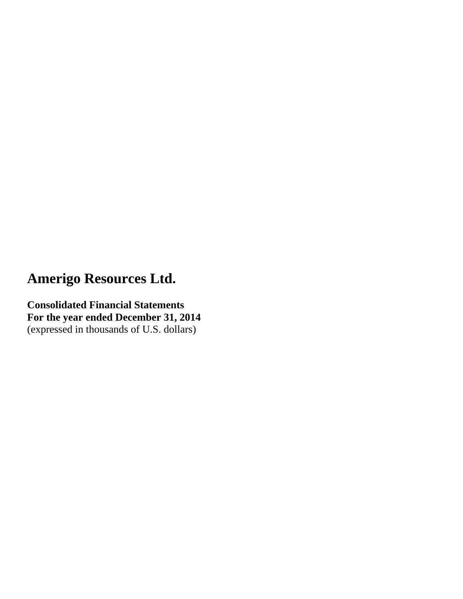**Consolidated Financial Statements For the year ended December 31, 2014**  (expressed in thousands of U.S. dollars)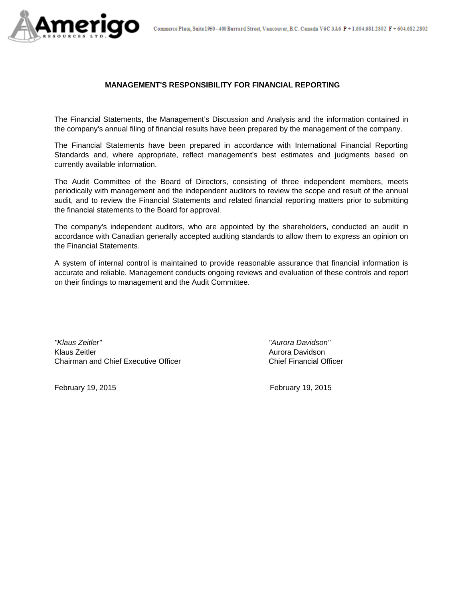

#### **MANAGEMENT'S RESPONSIBILITY FOR FINANCIAL REPORTING**

The Financial Statements, the Management's Discussion and Analysis and the information contained in the company's annual filing of financial results have been prepared by the management of the company.

The Financial Statements have been prepared in accordance with International Financial Reporting Standards and, where appropriate, reflect management's best estimates and judgments based on currently available information.

The Audit Committee of the Board of Directors, consisting of three independent members, meets periodically with management and the independent auditors to review the scope and result of the annual audit, and to review the Financial Statements and related financial reporting matters prior to submitting the financial statements to the Board for approval.

The company's independent auditors, who are appointed by the shareholders, conducted an audit in accordance with Canadian generally accepted auditing standards to allow them to express an opinion on the Financial Statements.

A system of internal control is maintained to provide reasonable assurance that financial information is accurate and reliable. Management conducts ongoing reviews and evaluation of these controls and report on their findings to management and the Audit Committee.

*"Klaus Zeitler" "Aurora Davidson"*  Klaus Zeitler **Aurora Davidson** Aurora Davidson Chairman and Chief Executive Officer Chief Financial Officer

February 19, 2015 February 19, 2015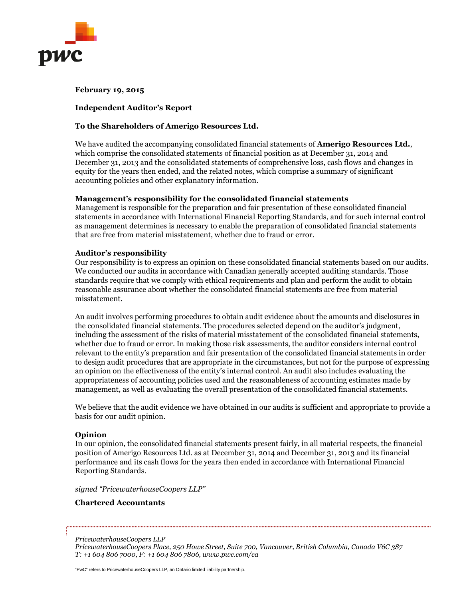

#### **February 19, 2015**

#### **Independent Auditor's Report**

#### **To the Shareholders of Amerigo Resources Ltd.**

We have audited the accompanying consolidated financial statements of **Amerigo Resources Ltd.**, which comprise the consolidated statements of financial position as at December 31, 2014 and December 31, 2013 and the consolidated statements of comprehensive loss, cash flows and changes in equity for the years then ended, and the related notes, which comprise a summary of significant accounting policies and other explanatory information.

#### **Management's responsibility for the consolidated financial statements**

Management is responsible for the preparation and fair presentation of these consolidated financial statements in accordance with International Financial Reporting Standards, and for such internal control as management determines is necessary to enable the preparation of consolidated financial statements that are free from material misstatement, whether due to fraud or error.

#### **Auditor's responsibility**

Our responsibility is to express an opinion on these consolidated financial statements based on our audits. We conducted our audits in accordance with Canadian generally accepted auditing standards. Those standards require that we comply with ethical requirements and plan and perform the audit to obtain reasonable assurance about whether the consolidated financial statements are free from material misstatement.

An audit involves performing procedures to obtain audit evidence about the amounts and disclosures in the consolidated financial statements. The procedures selected depend on the auditor's judgment, including the assessment of the risks of material misstatement of the consolidated financial statements, whether due to fraud or error. In making those risk assessments, the auditor considers internal control relevant to the entity's preparation and fair presentation of the consolidated financial statements in order to design audit procedures that are appropriate in the circumstances, but not for the purpose of expressing an opinion on the effectiveness of the entity's internal control. An audit also includes evaluating the appropriateness of accounting policies used and the reasonableness of accounting estimates made by management, as well as evaluating the overall presentation of the consolidated financial statements.

We believe that the audit evidence we have obtained in our audits is sufficient and appropriate to provide a basis for our audit opinion.

#### **Opinion**

In our opinion, the consolidated financial statements present fairly, in all material respects, the financial position of Amerigo Resources Ltd. as at December 31, 2014 and December 31, 2013 and its financial performance and its cash flows for the years then ended in accordance with International Financial Reporting Standards.

*signed "PricewaterhouseCoopers LLP"*

#### **Chartered Accountants**

#### *PricewaterhouseCoopers LLP*

*PricewaterhouseCoopers Place, 250 Howe Street, Suite 700, Vancouver, British Columbia, Canada V6C 3S7 T: +1 604 806 7000, F: +1 604 806 7806, www.pwc.com/ca*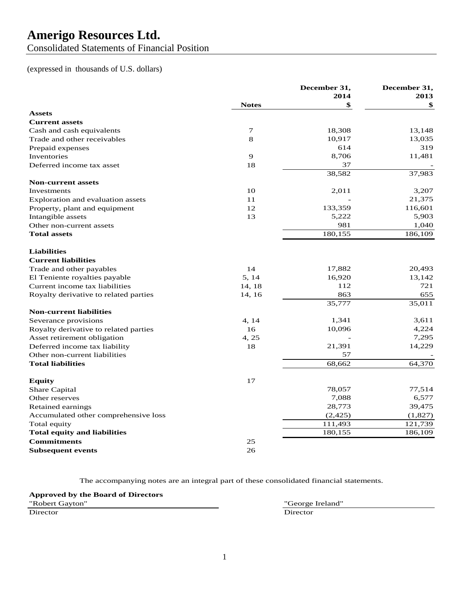Consolidated Statements of Financial Position

### (expressed in thousands of U.S. dollars)

|                                          |              | December 31, | December 31, |
|------------------------------------------|--------------|--------------|--------------|
|                                          |              | 2014         | 2013         |
|                                          | <b>Notes</b> | \$           | \$           |
| <b>Assets</b><br><b>Current assets</b>   |              |              |              |
|                                          | $\tau$       | 18,308       | 13,148       |
| Cash and cash equivalents                | 8            | 10,917       | 13,035       |
| Trade and other receivables              |              | 614          | 319          |
| Prepaid expenses                         | 9            | 8,706        | 11,481       |
| Inventories<br>Deferred income tax asset | 18           | 37           |              |
|                                          |              | 38,582       | 37,983       |
| <b>Non-current assets</b>                |              |              |              |
| Investments                              | 10           | 2,011        | 3,207        |
| Exploration and evaluation assets        | 11           |              | 21,375       |
| Property, plant and equipment            | 12           | 133,359      | 116,601      |
| Intangible assets                        | 13           | 5,222        | 5,903        |
| Other non-current assets                 |              | 981          | 1,040        |
| <b>Total assets</b>                      |              | 180,155      | 186,109      |
|                                          |              |              |              |
| <b>Liabilities</b>                       |              |              |              |
| <b>Current liabilities</b>               |              |              |              |
| Trade and other payables                 | 14           | 17,882       | 20,493       |
| El Teniente royalties payable            | 5, 14        | 16,920       | 13,142       |
| Current income tax liabilities           | 14, 18       | 112          | 721          |
| Royalty derivative to related parties    | 14, 16       | 863          | 655          |
|                                          |              | 35,777       | 35,011       |
| <b>Non-current liabilities</b>           |              |              |              |
| Severance provisions                     | 4, 14        | 1,341        | 3,611        |
| Royalty derivative to related parties    | 16           | 10,096       | 4,224        |
| Asset retirement obligation              | 4, 25        |              | 7,295        |
| Deferred income tax liability            | 18           | 21,391       | 14,229       |
| Other non-current liabilities            |              | 57           |              |
| <b>Total liabilities</b>                 |              | 68,662       | 64,370       |
| <b>Equity</b>                            | 17           |              |              |
| Share Capital                            |              | 78,057       | 77,514       |
| Other reserves                           |              | 7,088        | 6,577        |
| Retained earnings                        |              | 28,773       | 39,475       |
| Accumulated other comprehensive loss     |              | (2, 425)     | (1,827)      |
| Total equity                             |              | 111,493      | 121,739      |
| <b>Total equity and liabilities</b>      |              | 180,155      | 186,109      |
| <b>Commitments</b>                       | 25           |              |              |
| <b>Subsequent events</b>                 | 26           |              |              |

The accompanying notes are an integral part of these consolidated financial statements.

**Approved by the Board of Directors**

"Robert Gayton" "George Ireland" Director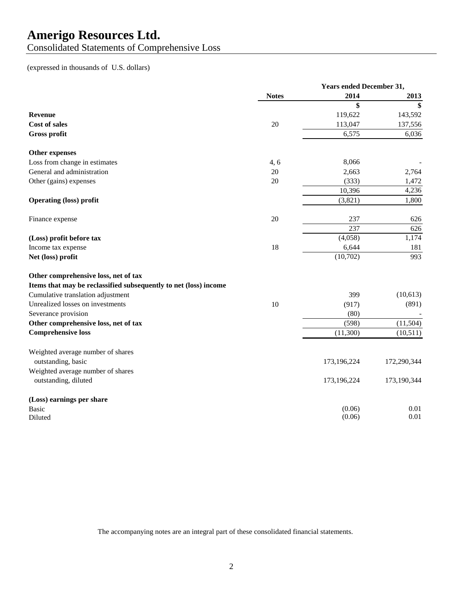Consolidated Statements of Comprehensive Loss

### (expressed in thousands of U.S. dollars)

|                                                                  | <b>Years ended December 31,</b> |             |             |
|------------------------------------------------------------------|---------------------------------|-------------|-------------|
|                                                                  | <b>Notes</b>                    | 2014        | 2013        |
|                                                                  |                                 | \$          | \$          |
| Revenue                                                          |                                 | 119,622     | 143,592     |
| Cost of sales                                                    | 20                              | 113,047     | 137,556     |
| <b>Gross profit</b>                                              |                                 | 6,575       | 6,036       |
| Other expenses                                                   |                                 |             |             |
| Loss from change in estimates                                    | 4, 6                            | 8,066       |             |
| General and administration                                       | 20                              | 2,663       | 2,764       |
| Other (gains) expenses                                           | 20                              | (333)       | 1,472       |
|                                                                  |                                 | 10,396      | 4,236       |
| <b>Operating (loss) profit</b>                                   |                                 | (3,821)     | 1,800       |
| Finance expense                                                  | 20                              | 237         | 626         |
|                                                                  |                                 | 237         | 626         |
| (Loss) profit before tax                                         |                                 | (4,058)     | 1,174       |
| Income tax expense                                               | 18                              | 6,644       | 181         |
| Net (loss) profit                                                |                                 | (10,702)    | 993         |
| Other comprehensive loss, net of tax                             |                                 |             |             |
| Items that may be reclassified subsequently to net (loss) income |                                 |             |             |
| Cumulative translation adjustment                                |                                 | 399         | (10,613)    |
| Unrealized losses on investments                                 | 10                              | (917)       | (891)       |
| Severance provision                                              |                                 | (80)        |             |
| Other comprehensive loss, net of tax                             |                                 | (598)       | (11,504)    |
| <b>Comprehensive loss</b>                                        |                                 | (11,300)    | (10,511)    |
| Weighted average number of shares                                |                                 |             |             |
| outstanding, basic                                               |                                 | 173,196,224 | 172,290,344 |
| Weighted average number of shares<br>outstanding, diluted        |                                 | 173,196,224 | 173,190,344 |
| (Loss) earnings per share                                        |                                 |             |             |
| <b>Basic</b>                                                     |                                 | (0.06)      | 0.01        |
| Diluted                                                          |                                 | (0.06)      | 0.01        |
|                                                                  |                                 |             |             |

The accompanying notes are an integral part of these consolidated financial statements.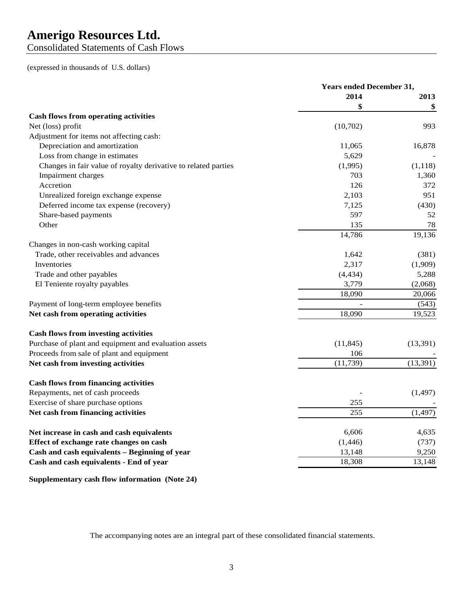Consolidated Statements of Cash Flows

(expressed in thousands of U.S. dollars)

|                                                                | <b>Years ended December 31,</b> |           |
|----------------------------------------------------------------|---------------------------------|-----------|
|                                                                | 2014                            | 2013      |
|                                                                | \$                              | \$        |
| <b>Cash flows from operating activities</b>                    |                                 |           |
| Net (loss) profit                                              | (10,702)                        | 993       |
| Adjustment for items not affecting cash:                       |                                 |           |
| Depreciation and amortization                                  | 11,065                          | 16,878    |
| Loss from change in estimates                                  | 5,629                           |           |
| Changes in fair value of royalty derivative to related parties | (1,995)                         | (1, 118)  |
| Impairment charges                                             | 703                             | 1,360     |
| Accretion                                                      | 126                             | 372       |
| Unrealized foreign exchange expense                            | 2,103                           | 951       |
| Deferred income tax expense (recovery)                         | 7,125                           | (430)     |
| Share-based payments                                           | 597                             | 52        |
| Other                                                          | 135                             | 78        |
|                                                                | 14,786                          | 19,136    |
| Changes in non-cash working capital                            |                                 |           |
| Trade, other receivables and advances                          | 1,642                           | (381)     |
| Inventories                                                    | 2,317                           | (1,909)   |
| Trade and other payables                                       | (4, 434)                        | 5,288     |
| El Teniente royalty payables                                   | 3,779                           | (2,068)   |
|                                                                | 18,090                          | 20,066    |
| Payment of long-term employee benefits                         |                                 | (543)     |
| Net cash from operating activities                             | 18,090                          | 19,523    |
|                                                                |                                 |           |
| <b>Cash flows from investing activities</b>                    |                                 |           |
| Purchase of plant and equipment and evaluation assets          | (11, 845)                       | (13, 391) |
| Proceeds from sale of plant and equipment                      | 106                             |           |
| Net cash from investing activities                             | (11, 739)                       | (13, 391) |
|                                                                |                                 |           |
| <b>Cash flows from financing activities</b>                    |                                 |           |
| Repayments, net of cash proceeds                               |                                 | (1, 497)  |
| Exercise of share purchase options                             | 255                             |           |
| Net cash from financing activities                             | 255                             | (1, 497)  |
| Net increase in cash and cash equivalents                      | 6,606                           | 4,635     |
| Effect of exchange rate changes on cash                        | (1,446)                         | (737)     |
| Cash and cash equivalents - Beginning of year                  | 13,148                          | 9,250     |
| Cash and cash equivalents - End of year                        | 18,308                          | 13,148    |
|                                                                |                                 |           |

**Supplementary cash flow information (Note 24)**

The accompanying notes are an integral part of these consolidated financial statements.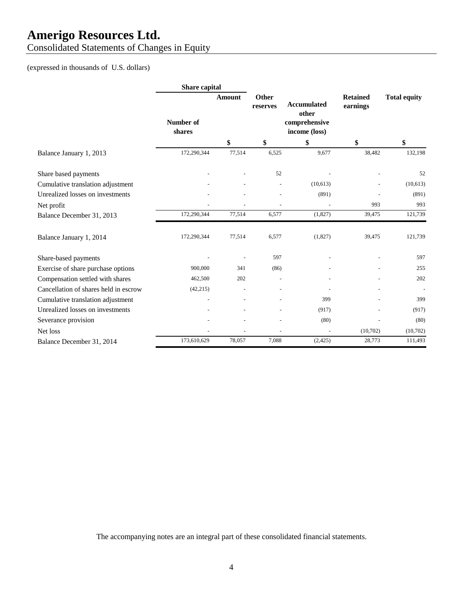Consolidated Statements of Changes in Equity

### (expressed in thousands of U.S. dollars)

|                                       | Share capital       |        |                   |                                                               |                             |                     |
|---------------------------------------|---------------------|--------|-------------------|---------------------------------------------------------------|-----------------------------|---------------------|
|                                       | Number of<br>shares | Amount | Other<br>reserves | <b>Accumulated</b><br>other<br>comprehensive<br>income (loss) | <b>Retained</b><br>earnings | <b>Total equity</b> |
|                                       |                     | \$     | \$                | \$                                                            | \$                          | \$                  |
| Balance January 1, 2013               | 172,290,344         | 77,514 | 6,525             | 9,677                                                         | 38,482                      | 132,198             |
| Share based payments                  |                     |        | 52                |                                                               |                             | 52                  |
| Cumulative translation adjustment     |                     |        | $\overline{a}$    | (10,613)                                                      |                             | (10,613)            |
| Unrealized losses on investments      |                     |        |                   | (891)                                                         |                             | (891)               |
| Net profit                            |                     |        |                   |                                                               | 993                         | 993                 |
| Balance December 31, 2013             | 172,290,344         | 77,514 | 6,577             | (1,827)                                                       | 39,475                      | 121,739             |
| Balance January 1, 2014               | 172,290,344         | 77,514 | 6,577             | (1,827)                                                       | 39,475                      | 121,739             |
| Share-based payments                  |                     |        | 597               |                                                               |                             | 597                 |
| Exercise of share purchase options    | 900,000             | 341    | (86)              |                                                               |                             | 255                 |
| Compensation settled with shares      | 462,500             | 202    |                   |                                                               |                             | 202                 |
| Cancellation of shares held in escrow | (42, 215)           |        |                   |                                                               |                             |                     |
| Cumulative translation adjustment     |                     |        |                   | 399                                                           |                             | 399                 |
| Unrealized losses on investments      |                     |        |                   | (917)                                                         |                             | (917)               |
| Severance provision                   |                     |        |                   | (80)                                                          |                             | (80)                |
| Net loss                              |                     |        |                   |                                                               | (10,702)                    | (10,702)            |
| Balance December 31, 2014             | 173,610,629         | 78,057 | 7,088             | (2, 425)                                                      | 28,773                      | 111,493             |

The accompanying notes are an integral part of these consolidated financial statements.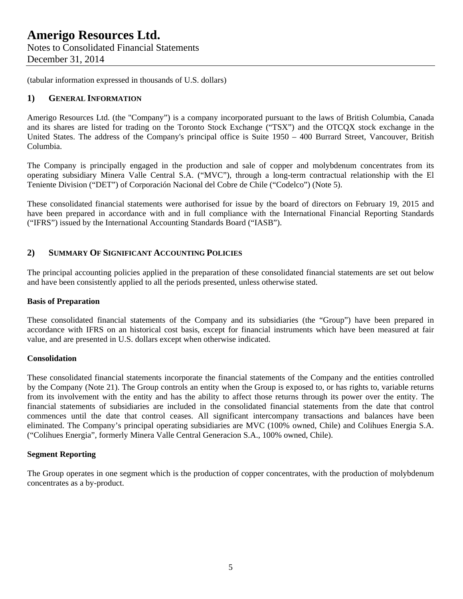Notes to Consolidated Financial Statements December 31, 2014

(tabular information expressed in thousands of U.S. dollars)

#### **1) GENERAL INFORMATION**

Amerigo Resources Ltd. (the "Company") is a company incorporated pursuant to the laws of British Columbia, Canada and its shares are listed for trading on the Toronto Stock Exchange ("TSX") and the OTCQX stock exchange in the United States. The address of the Company's principal office is Suite 1950 – 400 Burrard Street, Vancouver, British Columbia.

The Company is principally engaged in the production and sale of copper and molybdenum concentrates from its operating subsidiary Minera Valle Central S.A. ("MVC"), through a long-term contractual relationship with the El Teniente Division ("DET") of Corporación Nacional del Cobre de Chile ("Codelco") (Note 5).

These consolidated financial statements were authorised for issue by the board of directors on February 19, 2015 and have been prepared in accordance with and in full compliance with the International Financial Reporting Standards ("IFRS") issued by the International Accounting Standards Board ("IASB").

#### **2) SUMMARY OF SIGNIFICANT ACCOUNTING POLICIES**

The principal accounting policies applied in the preparation of these consolidated financial statements are set out below and have been consistently applied to all the periods presented, unless otherwise stated.

#### **Basis of Preparation**

These consolidated financial statements of the Company and its subsidiaries (the "Group") have been prepared in accordance with IFRS on an historical cost basis, except for financial instruments which have been measured at fair value, and are presented in U.S. dollars except when otherwise indicated.

#### **Consolidation**

These consolidated financial statements incorporate the financial statements of the Company and the entities controlled by the Company (Note 21). The Group controls an entity when the Group is exposed to, or has rights to, variable returns from its involvement with the entity and has the ability to affect those returns through its power over the entity. The financial statements of subsidiaries are included in the consolidated financial statements from the date that control commences until the date that control ceases. All significant intercompany transactions and balances have been eliminated. The Company's principal operating subsidiaries are MVC (100% owned, Chile) and Colihues Energia S.A. ("Colihues Energia", formerly Minera Valle Central Generacion S.A., 100% owned, Chile).

#### **Segment Reporting**

The Group operates in one segment which is the production of copper concentrates, with the production of molybdenum concentrates as a by-product.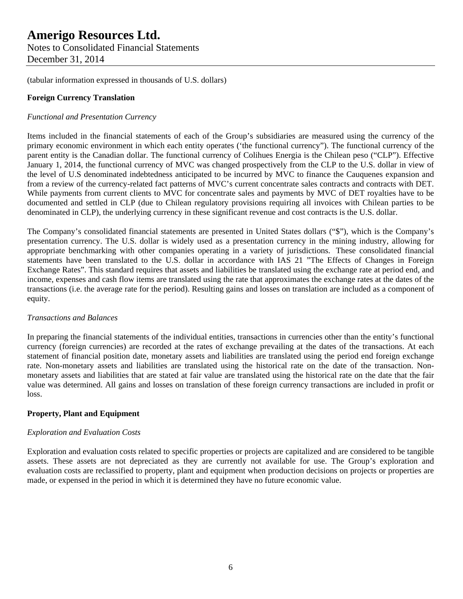Notes to Consolidated Financial Statements December 31, 2014

(tabular information expressed in thousands of U.S. dollars)

#### **Foreign Currency Translation**

#### *Functional and Presentation Currency*

Items included in the financial statements of each of the Group's subsidiaries are measured using the currency of the primary economic environment in which each entity operates ('the functional currency"). The functional currency of the parent entity is the Canadian dollar. The functional currency of Colihues Energia is the Chilean peso ("CLP"). Effective January 1, 2014, the functional currency of MVC was changed prospectively from the CLP to the U.S. dollar in view of the level of U.S denominated indebtedness anticipated to be incurred by MVC to finance the Cauquenes expansion and from a review of the currency-related fact patterns of MVC's current concentrate sales contracts and contracts with DET. While payments from current clients to MVC for concentrate sales and payments by MVC of DET royalties have to be documented and settled in CLP (due to Chilean regulatory provisions requiring all invoices with Chilean parties to be denominated in CLP), the underlying currency in these significant revenue and cost contracts is the U.S. dollar.

The Company's consolidated financial statements are presented in United States dollars ("\$"), which is the Company's presentation currency. The U.S. dollar is widely used as a presentation currency in the mining industry, allowing for appropriate benchmarking with other companies operating in a variety of jurisdictions. These consolidated financial statements have been translated to the U.S. dollar in accordance with IAS 21 "The Effects of Changes in Foreign Exchange Rates". This standard requires that assets and liabilities be translated using the exchange rate at period end, and income, expenses and cash flow items are translated using the rate that approximates the exchange rates at the dates of the transactions (i.e. the average rate for the period). Resulting gains and losses on translation are included as a component of equity.

#### *Transactions and Balances*

In preparing the financial statements of the individual entities, transactions in currencies other than the entity's functional currency (foreign currencies) are recorded at the rates of exchange prevailing at the dates of the transactions. At each statement of financial position date, monetary assets and liabilities are translated using the period end foreign exchange rate. Non-monetary assets and liabilities are translated using the historical rate on the date of the transaction. Nonmonetary assets and liabilities that are stated at fair value are translated using the historical rate on the date that the fair value was determined. All gains and losses on translation of these foreign currency transactions are included in profit or loss.

#### **Property, Plant and Equipment**

#### *Exploration and Evaluation Costs*

Exploration and evaluation costs related to specific properties or projects are capitalized and are considered to be tangible assets. These assets are not depreciated as they are currently not available for use. The Group's exploration and evaluation costs are reclassified to property, plant and equipment when production decisions on projects or properties are made, or expensed in the period in which it is determined they have no future economic value.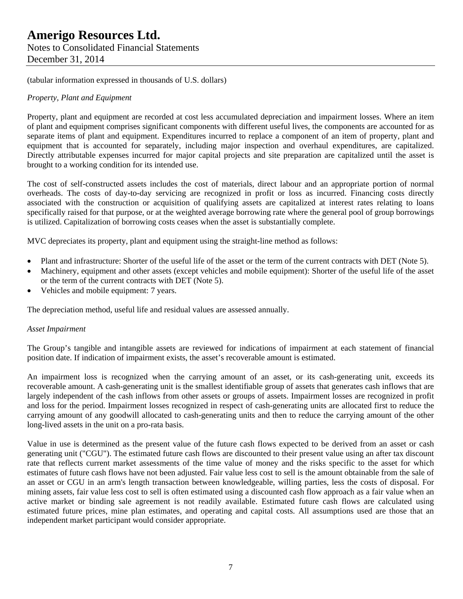Notes to Consolidated Financial Statements December 31, 2014

#### (tabular information expressed in thousands of U.S. dollars)

#### *Property, Plant and Equipment*

Property, plant and equipment are recorded at cost less accumulated depreciation and impairment losses. Where an item of plant and equipment comprises significant components with different useful lives, the components are accounted for as separate items of plant and equipment. Expenditures incurred to replace a component of an item of property, plant and equipment that is accounted for separately, including major inspection and overhaul expenditures, are capitalized. Directly attributable expenses incurred for major capital projects and site preparation are capitalized until the asset is brought to a working condition for its intended use.

The cost of self-constructed assets includes the cost of materials, direct labour and an appropriate portion of normal overheads. The costs of day-to-day servicing are recognized in profit or loss as incurred. Financing costs directly associated with the construction or acquisition of qualifying assets are capitalized at interest rates relating to loans specifically raised for that purpose, or at the weighted average borrowing rate where the general pool of group borrowings is utilized. Capitalization of borrowing costs ceases when the asset is substantially complete.

MVC depreciates its property, plant and equipment using the straight-line method as follows:

- Plant and infrastructure: Shorter of the useful life of the asset or the term of the current contracts with DET (Note 5).
- Machinery, equipment and other assets (except vehicles and mobile equipment): Shorter of the useful life of the asset or the term of the current contracts with DET (Note 5).
- Vehicles and mobile equipment: 7 years.

The depreciation method, useful life and residual values are assessed annually.

#### *Asset Impairment*

The Group's tangible and intangible assets are reviewed for indications of impairment at each statement of financial position date. If indication of impairment exists, the asset's recoverable amount is estimated.

An impairment loss is recognized when the carrying amount of an asset, or its cash-generating unit, exceeds its recoverable amount. A cash-generating unit is the smallest identifiable group of assets that generates cash inflows that are largely independent of the cash inflows from other assets or groups of assets. Impairment losses are recognized in profit and loss for the period. Impairment losses recognized in respect of cash-generating units are allocated first to reduce the carrying amount of any goodwill allocated to cash-generating units and then to reduce the carrying amount of the other long-lived assets in the unit on a pro-rata basis.

Value in use is determined as the present value of the future cash flows expected to be derived from an asset or cash generating unit ("CGU"). The estimated future cash flows are discounted to their present value using an after tax discount rate that reflects current market assessments of the time value of money and the risks specific to the asset for which estimates of future cash flows have not been adjusted. Fair value less cost to sell is the amount obtainable from the sale of an asset or CGU in an arm's length transaction between knowledgeable, willing parties, less the costs of disposal. For mining assets, fair value less cost to sell is often estimated using a discounted cash flow approach as a fair value when an active market or binding sale agreement is not readily available. Estimated future cash flows are calculated using estimated future prices, mine plan estimates, and operating and capital costs. All assumptions used are those that an independent market participant would consider appropriate.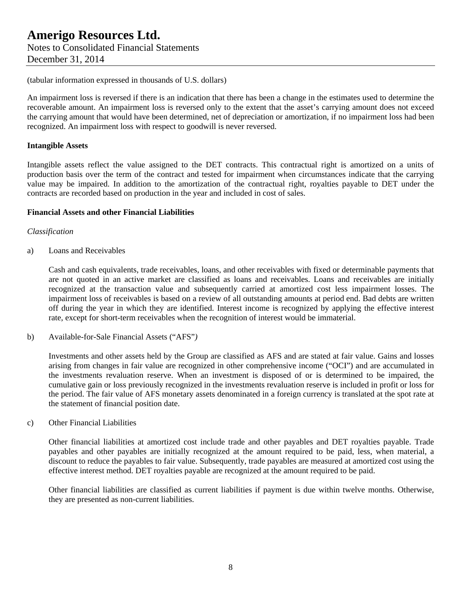#### (tabular information expressed in thousands of U.S. dollars)

An impairment loss is reversed if there is an indication that there has been a change in the estimates used to determine the recoverable amount. An impairment loss is reversed only to the extent that the asset's carrying amount does not exceed the carrying amount that would have been determined, net of depreciation or amortization, if no impairment loss had been recognized. An impairment loss with respect to goodwill is never reversed.

#### **Intangible Assets**

Intangible assets reflect the value assigned to the DET contracts. This contractual right is amortized on a units of production basis over the term of the contract and tested for impairment when circumstances indicate that the carrying value may be impaired. In addition to the amortization of the contractual right, royalties payable to DET under the contracts are recorded based on production in the year and included in cost of sales.

#### **Financial Assets and other Financial Liabilities**

*Classification* 

a) Loans and Receivables

Cash and cash equivalents, trade receivables, loans, and other receivables with fixed or determinable payments that are not quoted in an active market are classified as loans and receivables. Loans and receivables are initially recognized at the transaction value and subsequently carried at amortized cost less impairment losses. The impairment loss of receivables is based on a review of all outstanding amounts at period end. Bad debts are written off during the year in which they are identified. Interest income is recognized by applying the effective interest rate, except for short-term receivables when the recognition of interest would be immaterial.

b) Available-for-Sale Financial Assets ("AFS"*)* 

Investments and other assets held by the Group are classified as AFS and are stated at fair value. Gains and losses arising from changes in fair value are recognized in other comprehensive income ("OCI") and are accumulated in the investments revaluation reserve. When an investment is disposed of or is determined to be impaired, the cumulative gain or loss previously recognized in the investments revaluation reserve is included in profit or loss for the period. The fair value of AFS monetary assets denominated in a foreign currency is translated at the spot rate at the statement of financial position date.

c) Other Financial Liabilities

Other financial liabilities at amortized cost include trade and other payables and DET royalties payable. Trade payables and other payables are initially recognized at the amount required to be paid, less, when material, a discount to reduce the payables to fair value. Subsequently, trade payables are measured at amortized cost using the effective interest method. DET royalties payable are recognized at the amount required to be paid.

Other financial liabilities are classified as current liabilities if payment is due within twelve months. Otherwise, they are presented as non-current liabilities.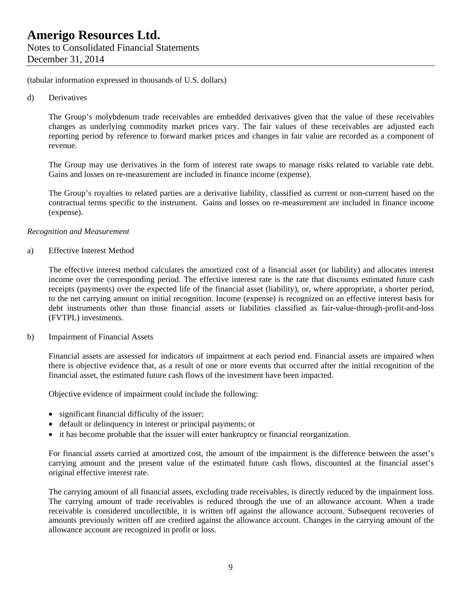Notes to Consolidated Financial Statements December 31, 2014

(tabular information expressed in thousands of U.S. dollars)

#### d) Derivatives

The Group's molybdenum trade receivables are embedded derivatives given that the value of these receivables changes as underlying commodity market prices vary. The fair values of these receivables are adjusted each reporting period by reference to forward market prices and changes in fair value are recorded as a component of revenue.

The Group may use derivatives in the form of interest rate swaps to manage risks related to variable rate debt. Gains and losses on re-measurement are included in finance income (expense).

The Group's royalties to related parties are a derivative liability, classified as current or non-current based on the contractual terms specific to the instrument. Gains and losses on re-measurement are included in finance income (expense).

#### *Recognition and Measurement*

a) Effective Interest Method

The effective interest method calculates the amortized cost of a financial asset (or liability) and allocates interest income over the corresponding period. The effective interest rate is the rate that discounts estimated future cash receipts (payments) over the expected life of the financial asset (liability), or, where appropriate, a shorter period, to the net carrying amount on initial recognition. Income (expense) is recognized on an effective interest basis for debt instruments other than those financial assets or liabilities classified as fair-value-through-profit-and-loss (FVTPL) investments.

b) Impairment of Financial Assets

Financial assets are assessed for indicators of impairment at each period end. Financial assets are impaired when there is objective evidence that, as a result of one or more events that occurred after the initial recognition of the financial asset, the estimated future cash flows of the investment have been impacted.

Objective evidence of impairment could include the following:

- significant financial difficulty of the issuer;
- default or delinquency in interest or principal payments; or
- it has become probable that the issuer will enter bankruptcy or financial reorganization.

For financial assets carried at amortized cost, the amount of the impairment is the difference between the asset's carrying amount and the present value of the estimated future cash flows, discounted at the financial asset's original effective interest rate.

The carrying amount of all financial assets, excluding trade receivables, is directly reduced by the impairment loss. The carrying amount of trade receivables is reduced through the use of an allowance account. When a trade receivable is considered uncollectible, it is written off against the allowance account. Subsequent recoveries of amounts previously written off are credited against the allowance account. Changes in the carrying amount of the allowance account are recognized in profit or loss.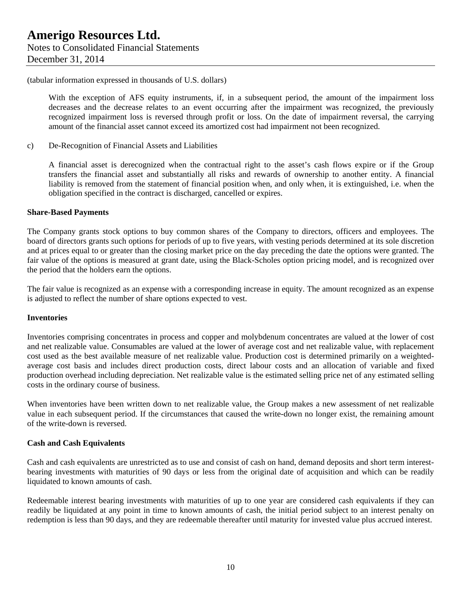#### (tabular information expressed in thousands of U.S. dollars)

With the exception of AFS equity instruments, if, in a subsequent period, the amount of the impairment loss decreases and the decrease relates to an event occurring after the impairment was recognized, the previously recognized impairment loss is reversed through profit or loss. On the date of impairment reversal, the carrying amount of the financial asset cannot exceed its amortized cost had impairment not been recognized.

#### c) De-Recognition of Financial Assets and Liabilities

A financial asset is derecognized when the contractual right to the asset's cash flows expire or if the Group transfers the financial asset and substantially all risks and rewards of ownership to another entity. A financial liability is removed from the statement of financial position when, and only when, it is extinguished, i.e. when the obligation specified in the contract is discharged, cancelled or expires.

#### **Share-Based Payments**

The Company grants stock options to buy common shares of the Company to directors, officers and employees. The board of directors grants such options for periods of up to five years, with vesting periods determined at its sole discretion and at prices equal to or greater than the closing market price on the day preceding the date the options were granted. The fair value of the options is measured at grant date, using the Black-Scholes option pricing model, and is recognized over the period that the holders earn the options.

The fair value is recognized as an expense with a corresponding increase in equity. The amount recognized as an expense is adjusted to reflect the number of share options expected to vest.

#### **Inventories**

Inventories comprising concentrates in process and copper and molybdenum concentrates are valued at the lower of cost and net realizable value. Consumables are valued at the lower of average cost and net realizable value, with replacement cost used as the best available measure of net realizable value. Production cost is determined primarily on a weightedaverage cost basis and includes direct production costs, direct labour costs and an allocation of variable and fixed production overhead including depreciation. Net realizable value is the estimated selling price net of any estimated selling costs in the ordinary course of business.

When inventories have been written down to net realizable value, the Group makes a new assessment of net realizable value in each subsequent period. If the circumstances that caused the write-down no longer exist, the remaining amount of the write-down is reversed.

#### **Cash and Cash Equivalents**

Cash and cash equivalents are unrestricted as to use and consist of cash on hand, demand deposits and short term interestbearing investments with maturities of 90 days or less from the original date of acquisition and which can be readily liquidated to known amounts of cash.

Redeemable interest bearing investments with maturities of up to one year are considered cash equivalents if they can readily be liquidated at any point in time to known amounts of cash, the initial period subject to an interest penalty on redemption is less than 90 days, and they are redeemable thereafter until maturity for invested value plus accrued interest.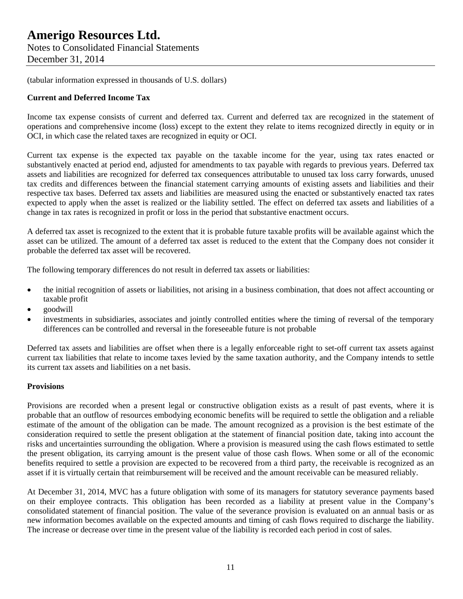Notes to Consolidated Financial Statements December 31, 2014

(tabular information expressed in thousands of U.S. dollars)

#### **Current and Deferred Income Tax**

Income tax expense consists of current and deferred tax. Current and deferred tax are recognized in the statement of operations and comprehensive income (loss) except to the extent they relate to items recognized directly in equity or in OCI, in which case the related taxes are recognized in equity or OCI.

Current tax expense is the expected tax payable on the taxable income for the year, using tax rates enacted or substantively enacted at period end, adjusted for amendments to tax payable with regards to previous years. Deferred tax assets and liabilities are recognized for deferred tax consequences attributable to unused tax loss carry forwards, unused tax credits and differences between the financial statement carrying amounts of existing assets and liabilities and their respective tax bases. Deferred tax assets and liabilities are measured using the enacted or substantively enacted tax rates expected to apply when the asset is realized or the liability settled. The effect on deferred tax assets and liabilities of a change in tax rates is recognized in profit or loss in the period that substantive enactment occurs.

A deferred tax asset is recognized to the extent that it is probable future taxable profits will be available against which the asset can be utilized. The amount of a deferred tax asset is reduced to the extent that the Company does not consider it probable the deferred tax asset will be recovered.

The following temporary differences do not result in deferred tax assets or liabilities:

- the initial recognition of assets or liabilities, not arising in a business combination, that does not affect accounting or taxable profit
- goodwill
- investments in subsidiaries, associates and jointly controlled entities where the timing of reversal of the temporary differences can be controlled and reversal in the foreseeable future is not probable

Deferred tax assets and liabilities are offset when there is a legally enforceable right to set-off current tax assets against current tax liabilities that relate to income taxes levied by the same taxation authority, and the Company intends to settle its current tax assets and liabilities on a net basis.

#### **Provisions**

Provisions are recorded when a present legal or constructive obligation exists as a result of past events, where it is probable that an outflow of resources embodying economic benefits will be required to settle the obligation and a reliable estimate of the amount of the obligation can be made. The amount recognized as a provision is the best estimate of the consideration required to settle the present obligation at the statement of financial position date, taking into account the risks and uncertainties surrounding the obligation. Where a provision is measured using the cash flows estimated to settle the present obligation, its carrying amount is the present value of those cash flows. When some or all of the economic benefits required to settle a provision are expected to be recovered from a third party, the receivable is recognized as an asset if it is virtually certain that reimbursement will be received and the amount receivable can be measured reliably.

At December 31, 2014, MVC has a future obligation with some of its managers for statutory severance payments based on their employee contracts. This obligation has been recorded as a liability at present value in the Company's consolidated statement of financial position. The value of the severance provision is evaluated on an annual basis or as new information becomes available on the expected amounts and timing of cash flows required to discharge the liability. The increase or decrease over time in the present value of the liability is recorded each period in cost of sales.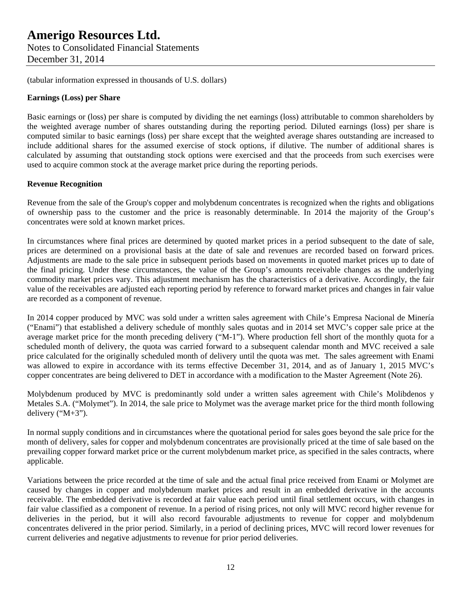Notes to Consolidated Financial Statements December 31, 2014

(tabular information expressed in thousands of U.S. dollars)

#### **Earnings (Loss) per Share**

Basic earnings or (loss) per share is computed by dividing the net earnings (loss) attributable to common shareholders by the weighted average number of shares outstanding during the reporting period. Diluted earnings (loss) per share is computed similar to basic earnings (loss) per share except that the weighted average shares outstanding are increased to include additional shares for the assumed exercise of stock options, if dilutive. The number of additional shares is calculated by assuming that outstanding stock options were exercised and that the proceeds from such exercises were used to acquire common stock at the average market price during the reporting periods.

#### **Revenue Recognition**

Revenue from the sale of the Group's copper and molybdenum concentrates is recognized when the rights and obligations of ownership pass to the customer and the price is reasonably determinable. In 2014 the majority of the Group's concentrates were sold at known market prices.

In circumstances where final prices are determined by quoted market prices in a period subsequent to the date of sale, prices are determined on a provisional basis at the date of sale and revenues are recorded based on forward prices. Adjustments are made to the sale price in subsequent periods based on movements in quoted market prices up to date of the final pricing. Under these circumstances, the value of the Group's amounts receivable changes as the underlying commodity market prices vary. This adjustment mechanism has the characteristics of a derivative. Accordingly, the fair value of the receivables are adjusted each reporting period by reference to forward market prices and changes in fair value are recorded as a component of revenue.

In 2014 copper produced by MVC was sold under a written sales agreement with Chile's Empresa Nacional de Minería ("Enami") that established a delivery schedule of monthly sales quotas and in 2014 set MVC's copper sale price at the average market price for the month preceding delivery ("M-1"). Where production fell short of the monthly quota for a scheduled month of delivery, the quota was carried forward to a subsequent calendar month and MVC received a sale price calculated for the originally scheduled month of delivery until the quota was met. The sales agreement with Enami was allowed to expire in accordance with its terms effective December 31, 2014, and as of January 1, 2015 MVC's copper concentrates are being delivered to DET in accordance with a modification to the Master Agreement (Note 26).

Molybdenum produced by MVC is predominantly sold under a written sales agreement with Chile's Molibdenos y Metales S.A. ("Molymet"). In 2014, the sale price to Molymet was the average market price for the third month following delivery ("M+3").

In normal supply conditions and in circumstances where the quotational period for sales goes beyond the sale price for the month of delivery, sales for copper and molybdenum concentrates are provisionally priced at the time of sale based on the prevailing copper forward market price or the current molybdenum market price, as specified in the sales contracts, where applicable.

Variations between the price recorded at the time of sale and the actual final price received from Enami or Molymet are caused by changes in copper and molybdenum market prices and result in an embedded derivative in the accounts receivable. The embedded derivative is recorded at fair value each period until final settlement occurs, with changes in fair value classified as a component of revenue. In a period of rising prices, not only will MVC record higher revenue for deliveries in the period, but it will also record favourable adjustments to revenue for copper and molybdenum concentrates delivered in the prior period. Similarly, in a period of declining prices, MVC will record lower revenues for current deliveries and negative adjustments to revenue for prior period deliveries.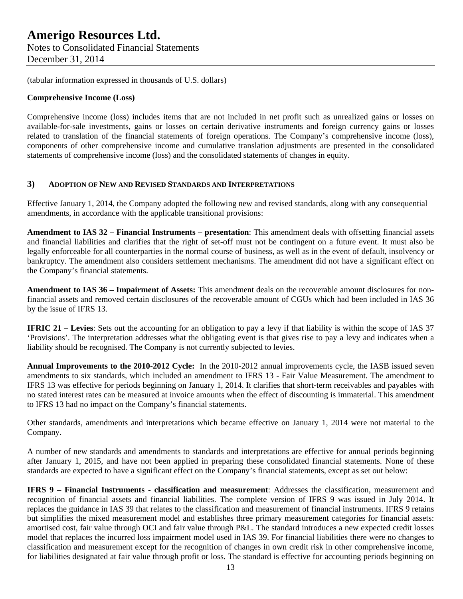Notes to Consolidated Financial Statements December 31, 2014

(tabular information expressed in thousands of U.S. dollars)

#### **Comprehensive Income (Loss)**

Comprehensive income (loss) includes items that are not included in net profit such as unrealized gains or losses on available-for-sale investments, gains or losses on certain derivative instruments and foreign currency gains or losses related to translation of the financial statements of foreign operations. The Company's comprehensive income (loss), components of other comprehensive income and cumulative translation adjustments are presented in the consolidated statements of comprehensive income (loss) and the consolidated statements of changes in equity.

#### **3) ADOPTION OF NEW AND REVISED STANDARDS AND INTERPRETATIONS**

Effective January 1, 2014, the Company adopted the following new and revised standards, along with any consequential amendments, in accordance with the applicable transitional provisions:

**Amendment to IAS 32 – Financial Instruments – presentation**: This amendment deals with offsetting financial assets and financial liabilities and clarifies that the right of set-off must not be contingent on a future event. It must also be legally enforceable for all counterparties in the normal course of business, as well as in the event of default, insolvency or bankruptcy. The amendment also considers settlement mechanisms. The amendment did not have a significant effect on the Company's financial statements.

**Amendment to IAS 36 – Impairment of Assets:** This amendment deals on the recoverable amount disclosures for nonfinancial assets and removed certain disclosures of the recoverable amount of CGUs which had been included in IAS 36 by the issue of IFRS 13.

**IFRIC 21 – Levies**: Sets out the accounting for an obligation to pay a levy if that liability is within the scope of IAS 37 'Provisions'. The interpretation addresses what the obligating event is that gives rise to pay a levy and indicates when a liability should be recognised. The Company is not currently subjected to levies.

**Annual Improvements to the 2010-2012 Cycle:** In the 2010-2012 annual improvements cycle, the IASB issued seven amendments to six standards, which included an amendment to IFRS 13 - Fair Value Measurement. The amendment to IFRS 13 was effective for periods beginning on January 1, 2014. It clarifies that short-term receivables and payables with no stated interest rates can be measured at invoice amounts when the effect of discounting is immaterial. This amendment to IFRS 13 had no impact on the Company's financial statements.

Other standards, amendments and interpretations which became effective on January 1, 2014 were not material to the Company.

A number of new standards and amendments to standards and interpretations are effective for annual periods beginning after January 1, 2015, and have not been applied in preparing these consolidated financial statements. None of these standards are expected to have a significant effect on the Company's financial statements, except as set out below:

**IFRS 9 – Financial Instruments - classification and measurement**: Addresses the classification, measurement and recognition of financial assets and financial liabilities. The complete version of IFRS 9 was issued in July 2014. It replaces the guidance in IAS 39 that relates to the classification and measurement of financial instruments. IFRS 9 retains but simplifies the mixed measurement model and establishes three primary measurement categories for financial assets: amortised cost, fair value through OCI and fair value through P&L. The standard introduces a new expected credit losses model that replaces the incurred loss impairment model used in IAS 39. For financial liabilities there were no changes to classification and measurement except for the recognition of changes in own credit risk in other comprehensive income, for liabilities designated at fair value through profit or loss. The standard is effective for accounting periods beginning on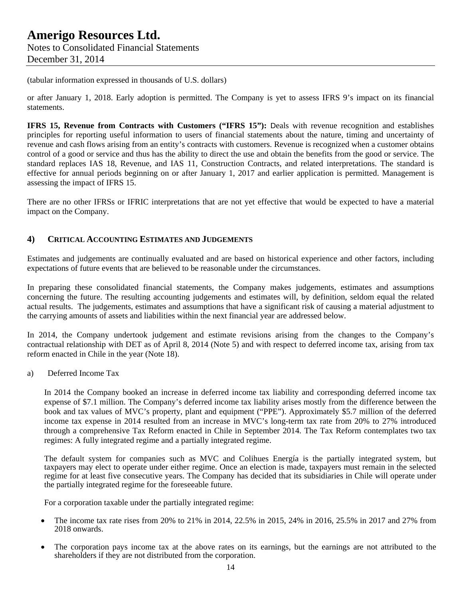### **Amerigo Resources Ltd.**  Notes to Consolidated Financial Statements December 31, 2014

(tabular information expressed in thousands of U.S. dollars)

or after January 1, 2018. Early adoption is permitted. The Company is yet to assess IFRS 9's impact on its financial statements.

**IFRS 15, Revenue from Contracts with Customers ("IFRS 15"):** Deals with revenue recognition and establishes principles for reporting useful information to users of financial statements about the nature, timing and uncertainty of revenue and cash flows arising from an entity's contracts with customers. Revenue is recognized when a customer obtains control of a good or service and thus has the ability to direct the use and obtain the benefits from the good or service. The standard replaces IAS 18, Revenue, and IAS 11, Construction Contracts, and related interpretations. The standard is effective for annual periods beginning on or after January 1, 2017 and earlier application is permitted. Management is assessing the impact of IFRS 15.

There are no other IFRSs or IFRIC interpretations that are not yet effective that would be expected to have a material impact on the Company.

#### **4) CRITICAL ACCOUNTING ESTIMATES AND JUDGEMENTS**

Estimates and judgements are continually evaluated and are based on historical experience and other factors, including expectations of future events that are believed to be reasonable under the circumstances.

In preparing these consolidated financial statements, the Company makes judgements, estimates and assumptions concerning the future. The resulting accounting judgements and estimates will, by definition, seldom equal the related actual results. The judgements, estimates and assumptions that have a significant risk of causing a material adjustment to the carrying amounts of assets and liabilities within the next financial year are addressed below.

In 2014, the Company undertook judgement and estimate revisions arising from the changes to the Company's contractual relationship with DET as of April 8, 2014 (Note 5) and with respect to deferred income tax, arising from tax reform enacted in Chile in the year (Note 18).

a) Deferred Income Tax

In 2014 the Company booked an increase in deferred income tax liability and corresponding deferred income tax expense of \$7.1 million. The Company's deferred income tax liability arises mostly from the difference between the book and tax values of MVC's property, plant and equipment ("PPE"). Approximately \$5.7 million of the deferred income tax expense in 2014 resulted from an increase in MVC's long-term tax rate from 20% to 27% introduced through a comprehensive Tax Reform enacted in Chile in September 2014. The Tax Reform contemplates two tax regimes: A fully integrated regime and a partially integrated regime.

The default system for companies such as MVC and Colihues Energía is the partially integrated system, but taxpayers may elect to operate under either regime. Once an election is made, taxpayers must remain in the selected regime for at least five consecutive years. The Company has decided that its subsidiaries in Chile will operate under the partially integrated regime for the foreseeable future.

For a corporation taxable under the partially integrated regime:

- The income tax rate rises from 20% to 21% in 2014, 22.5% in 2015, 24% in 2016, 25.5% in 2017 and 27% from 2018 onwards.
- The corporation pays income tax at the above rates on its earnings, but the earnings are not attributed to the shareholders if they are not distributed from the corporation.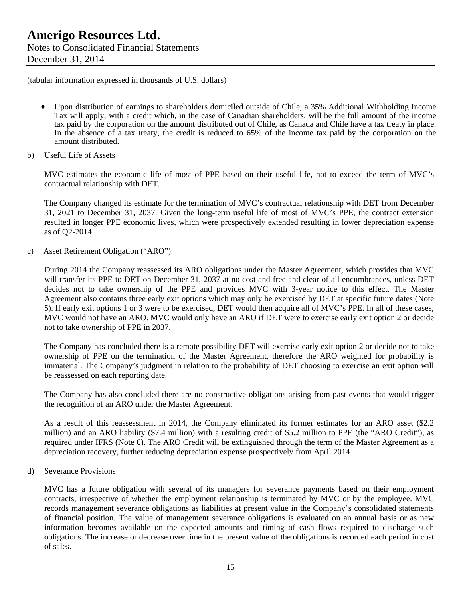Notes to Consolidated Financial Statements December 31, 2014

(tabular information expressed in thousands of U.S. dollars)

- Upon distribution of earnings to shareholders domiciled outside of Chile, a 35% Additional Withholding Income Tax will apply, with a credit which, in the case of Canadian shareholders, will be the full amount of the income tax paid by the corporation on the amount distributed out of Chile, as Canada and Chile have a tax treaty in place. In the absence of a tax treaty, the credit is reduced to 65% of the income tax paid by the corporation on the amount distributed.
- b) Useful Life of Assets

MVC estimates the economic life of most of PPE based on their useful life, not to exceed the term of MVC's contractual relationship with DET.

The Company changed its estimate for the termination of MVC's contractual relationship with DET from December 31, 2021 to December 31, 2037. Given the long-term useful life of most of MVC's PPE, the contract extension resulted in longer PPE economic lives, which were prospectively extended resulting in lower depreciation expense as of Q2-2014.

c) Asset Retirement Obligation ("ARO")

During 2014 the Company reassessed its ARO obligations under the Master Agreement, which provides that MVC will transfer its PPE to DET on December 31, 2037 at no cost and free and clear of all encumbrances, unless DET decides not to take ownership of the PPE and provides MVC with 3-year notice to this effect. The Master Agreement also contains three early exit options which may only be exercised by DET at specific future dates (Note 5). If early exit options 1 or 3 were to be exercised, DET would then acquire all of MVC's PPE. In all of these cases, MVC would not have an ARO. MVC would only have an ARO if DET were to exercise early exit option 2 or decide not to take ownership of PPE in 2037.

The Company has concluded there is a remote possibility DET will exercise early exit option 2 or decide not to take ownership of PPE on the termination of the Master Agreement, therefore the ARO weighted for probability is immaterial. The Company's judgment in relation to the probability of DET choosing to exercise an exit option will be reassessed on each reporting date.

The Company has also concluded there are no constructive obligations arising from past events that would trigger the recognition of an ARO under the Master Agreement.

As a result of this reassessment in 2014, the Company eliminated its former estimates for an ARO asset (\$2.2 million) and an ARO liability (\$7.4 million) with a resulting credit of \$5.2 million to PPE (the "ARO Credit"), as required under IFRS (Note 6). The ARO Credit will be extinguished through the term of the Master Agreement as a depreciation recovery, further reducing depreciation expense prospectively from April 2014.

d) Severance Provisions

MVC has a future obligation with several of its managers for severance payments based on their employment contracts, irrespective of whether the employment relationship is terminated by MVC or by the employee. MVC records management severance obligations as liabilities at present value in the Company's consolidated statements of financial position. The value of management severance obligations is evaluated on an annual basis or as new information becomes available on the expected amounts and timing of cash flows required to discharge such obligations. The increase or decrease over time in the present value of the obligations is recorded each period in cost of sales.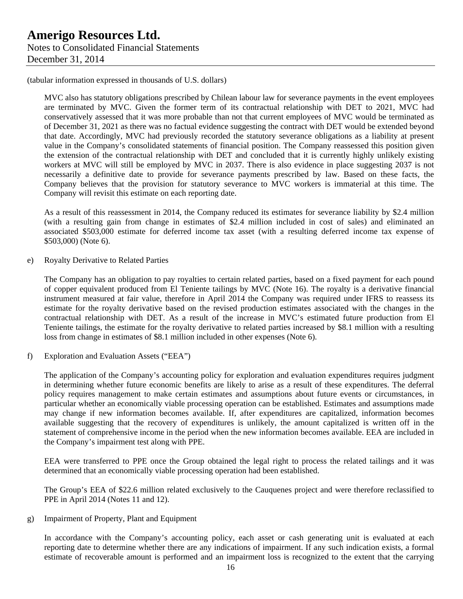(tabular information expressed in thousands of U.S. dollars)

MVC also has statutory obligations prescribed by Chilean labour law for severance payments in the event employees are terminated by MVC. Given the former term of its contractual relationship with DET to 2021, MVC had conservatively assessed that it was more probable than not that current employees of MVC would be terminated as of December 31, 2021 as there was no factual evidence suggesting the contract with DET would be extended beyond that date. Accordingly, MVC had previously recorded the statutory severance obligations as a liability at present value in the Company's consolidated statements of financial position. The Company reassessed this position given the extension of the contractual relationship with DET and concluded that it is currently highly unlikely existing workers at MVC will still be employed by MVC in 2037. There is also evidence in place suggesting 2037 is not necessarily a definitive date to provide for severance payments prescribed by law. Based on these facts, the Company believes that the provision for statutory severance to MVC workers is immaterial at this time. The Company will revisit this estimate on each reporting date.

As a result of this reassessment in 2014, the Company reduced its estimates for severance liability by \$2.4 million (with a resulting gain from change in estimates of \$2.4 million included in cost of sales) and eliminated an associated \$503,000 estimate for deferred income tax asset (with a resulting deferred income tax expense of \$503,000) (Note 6).

e) Royalty Derivative to Related Parties

The Company has an obligation to pay royalties to certain related parties, based on a fixed payment for each pound of copper equivalent produced from El Teniente tailings by MVC (Note 16). The royalty is a derivative financial instrument measured at fair value, therefore in April 2014 the Company was required under IFRS to reassess its estimate for the royalty derivative based on the revised production estimates associated with the changes in the contractual relationship with DET. As a result of the increase in MVC's estimated future production from El Teniente tailings, the estimate for the royalty derivative to related parties increased by \$8.1 million with a resulting loss from change in estimates of \$8.1 million included in other expenses (Note 6).

f) Exploration and Evaluation Assets ("EEA")

The application of the Company's accounting policy for exploration and evaluation expenditures requires judgment in determining whether future economic benefits are likely to arise as a result of these expenditures. The deferral policy requires management to make certain estimates and assumptions about future events or circumstances, in particular whether an economically viable processing operation can be established. Estimates and assumptions made may change if new information becomes available. If, after expenditures are capitalized, information becomes available suggesting that the recovery of expenditures is unlikely, the amount capitalized is written off in the statement of comprehensive income in the period when the new information becomes available. EEA are included in the Company's impairment test along with PPE.

EEA were transferred to PPE once the Group obtained the legal right to process the related tailings and it was determined that an economically viable processing operation had been established.

The Group's EEA of \$22.6 million related exclusively to the Cauquenes project and were therefore reclassified to PPE in April 2014 (Notes 11 and 12).

g) Impairment of Property, Plant and Equipment

In accordance with the Company's accounting policy, each asset or cash generating unit is evaluated at each reporting date to determine whether there are any indications of impairment. If any such indication exists, a formal estimate of recoverable amount is performed and an impairment loss is recognized to the extent that the carrying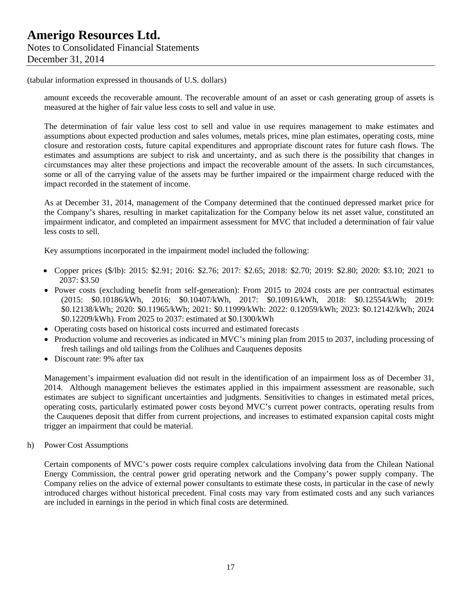#### (tabular information expressed in thousands of U.S. dollars)

amount exceeds the recoverable amount. The recoverable amount of an asset or cash generating group of assets is measured at the higher of fair value less costs to sell and value in use.

The determination of fair value less cost to sell and value in use requires management to make estimates and assumptions about expected production and sales volumes, metals prices, mine plan estimates, operating costs, mine closure and restoration costs, future capital expenditures and appropriate discount rates for future cash flows. The estimates and assumptions are subject to risk and uncertainty, and as such there is the possibility that changes in circumstances may alter these projections and impact the recoverable amount of the assets. In such circumstances, some or all of the carrying value of the assets may be further impaired or the impairment charge reduced with the impact recorded in the statement of income.

As at December 31, 2014, management of the Company determined that the continued depressed market price for the Company's shares, resulting in market capitalization for the Company below its net asset value, constituted an impairment indicator, and completed an impairment assessment for MVC that included a determination of fair value less costs to sell.

Key assumptions incorporated in the impairment model included the following:

- Copper prices (\$/lb): 2015: \$2.91; 2016: \$2.76; 2017: \$2.65; 2018: \$2.70; 2019: \$2.80; 2020: \$3.10; 2021 to 2037: \$3.50
- Power costs (excluding benefit from self-generation): From 2015 to 2024 costs are per contractual estimates (2015: \$0.10186/kWh, 2016: \$0.10407/kWh, 2017: \$0.10916/kWh, 2018: \$0.12554/kWh; 2019: \$0.12138/kWh; 2020: \$0.11965/kWh; 2021: \$0.11999/kWh: 2022: 0.12059/kWh; 2023: \$0.12142/kWh; 2024 \$0.12209/kWh). From 2025 to 2037: estimated at \$0.1300/kWh
- Operating costs based on historical costs incurred and estimated forecasts
- Production volume and recoveries as indicated in MVC's mining plan from 2015 to 2037, including processing of fresh tailings and old tailings from the Colihues and Cauquenes deposits
- Discount rate: 9% after tax

Management's impairment evaluation did not result in the identification of an impairment loss as of December 31, 2014. Although management believes the estimates applied in this impairment assessment are reasonable, such estimates are subject to significant uncertainties and judgments. Sensitivities to changes in estimated metal prices, operating costs, particularly estimated power costs beyond MVC's current power contracts, operating results from the Cauquenes deposit that differ from current projections, and increases to estimated expansion capital costs might trigger an impairment that could be material.

h) Power Cost Assumptions

Certain components of MVC's power costs require complex calculations involving data from the Chilean National Energy Commission, the central power grid operating network and the Company's power supply company. The Company relies on the advice of external power consultants to estimate these costs, in particular in the case of newly introduced charges without historical precedent. Final costs may vary from estimated costs and any such variances are included in earnings in the period in which final costs are determined.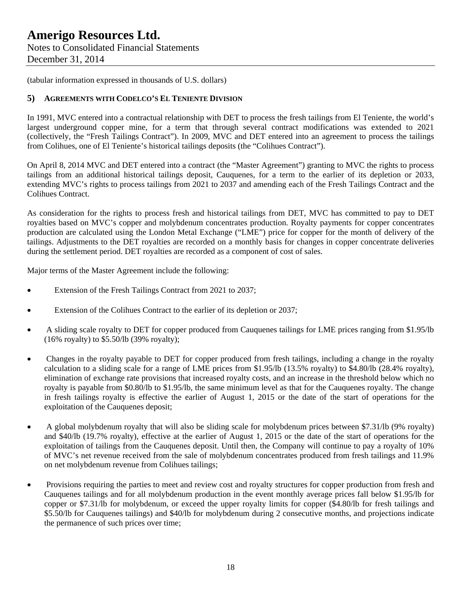### **Amerigo Resources Ltd.**  Notes to Consolidated Financial Statements December 31, 2014

(tabular information expressed in thousands of U.S. dollars)

#### **5) AGREEMENTS WITH CODELCO'S EL TENIENTE DIVISION**

In 1991, MVC entered into a contractual relationship with DET to process the fresh tailings from El Teniente, the world's largest underground copper mine, for a term that through several contract modifications was extended to 2021 (collectively, the "Fresh Tailings Contract"). In 2009, MVC and DET entered into an agreement to process the tailings from Colihues, one of El Teniente's historical tailings deposits (the "Colihues Contract").

On April 8, 2014 MVC and DET entered into a contract (the "Master Agreement") granting to MVC the rights to process tailings from an additional historical tailings deposit, Cauquenes, for a term to the earlier of its depletion or 2033, extending MVC's rights to process tailings from 2021 to 2037 and amending each of the Fresh Tailings Contract and the Colihues Contract.

As consideration for the rights to process fresh and historical tailings from DET, MVC has committed to pay to DET royalties based on MVC's copper and molybdenum concentrates production. Royalty payments for copper concentrates production are calculated using the London Metal Exchange ("LME") price for copper for the month of delivery of the tailings. Adjustments to the DET royalties are recorded on a monthly basis for changes in copper concentrate deliveries during the settlement period. DET royalties are recorded as a component of cost of sales.

Major terms of the Master Agreement include the following:

- Extension of the Fresh Tailings Contract from 2021 to 2037;
- Extension of the Colihues Contract to the earlier of its depletion or 2037;
- A sliding scale royalty to DET for copper produced from Cauquenes tailings for LME prices ranging from \$1.95/lb (16% royalty) to \$5.50/lb (39% royalty);
- Changes in the royalty payable to DET for copper produced from fresh tailings, including a change in the royalty calculation to a sliding scale for a range of LME prices from \$1.95/lb (13.5% royalty) to \$4.80/lb (28.4% royalty), elimination of exchange rate provisions that increased royalty costs, and an increase in the threshold below which no royalty is payable from \$0.80/lb to \$1.95/lb, the same minimum level as that for the Cauquenes royalty. The change in fresh tailings royalty is effective the earlier of August 1, 2015 or the date of the start of operations for the exploitation of the Cauquenes deposit;
- A global molybdenum royalty that will also be sliding scale for molybdenum prices between \$7.31/lb (9% royalty) and \$40/lb (19.7% royalty), effective at the earlier of August 1, 2015 or the date of the start of operations for the exploitation of tailings from the Cauquenes deposit. Until then, the Company will continue to pay a royalty of 10% of MVC's net revenue received from the sale of molybdenum concentrates produced from fresh tailings and 11.9% on net molybdenum revenue from Colihues tailings;
- Provisions requiring the parties to meet and review cost and royalty structures for copper production from fresh and Cauquenes tailings and for all molybdenum production in the event monthly average prices fall below \$1.95/lb for copper or \$7.31/lb for molybdenum, or exceed the upper royalty limits for copper (\$4.80/lb for fresh tailings and \$5.50/lb for Cauquenes tailings) and \$40/lb for molybdenum during 2 consecutive months, and projections indicate the permanence of such prices over time;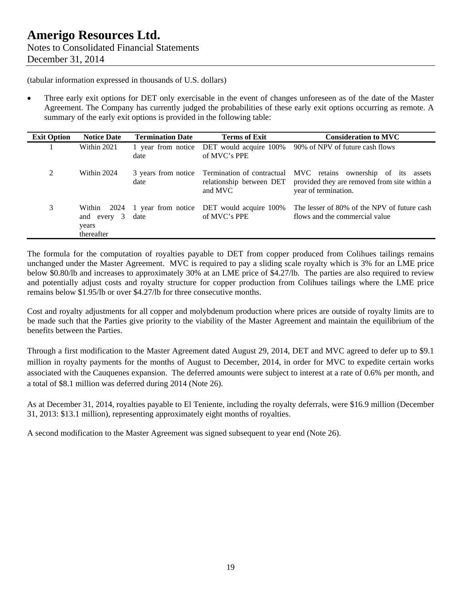(tabular information expressed in thousands of U.S. dollars)

 Three early exit options for DET only exercisable in the event of changes unforeseen as of the date of the Master Agreement. The Company has currently judged the probabilities of these early exit options occurring as remote. A summary of the early exit options is provided in the following table:

| <b>Exit Option</b> | <b>Notice Date</b>                               | <b>Termination Date</b>     | <b>Terms of Exit</b>                                              | <b>Consideration to MVC</b>                                                                                 |
|--------------------|--------------------------------------------------|-----------------------------|-------------------------------------------------------------------|-------------------------------------------------------------------------------------------------------------|
|                    | Within 2021                                      | date                        | of MVC's PPE                                                      | 1 year from notice DET would acquire 100% 90% of NPV of future cash flows                                   |
| 2                  | Within 2024                                      | 3 years from notice<br>date | Termination of contractual<br>relationship between DET<br>and MVC | MVC retains ownership of its assets<br>provided they are removed from site within a<br>year of termination. |
| 3                  | Within<br>-3<br>and every<br>years<br>thereafter | date                        | 2024 1 year from notice DET would acquire 100%<br>of MVC's PPE    | The lesser of 80% of the NPV of future cash<br>flows and the commercial value                               |

The formula for the computation of royalties payable to DET from copper produced from Colihues tailings remains unchanged under the Master Agreement. MVC is required to pay a sliding scale royalty which is 3% for an LME price below \$0.80/lb and increases to approximately 30% at an LME price of \$4.27/lb. The parties are also required to review and potentially adjust costs and royalty structure for copper production from Colihues tailings where the LME price remains below \$1.95/lb or over \$4.27/lb for three consecutive months.

Cost and royalty adjustments for all copper and molybdenum production where prices are outside of royalty limits are to be made such that the Parties give priority to the viability of the Master Agreement and maintain the equilibrium of the benefits between the Parties.

Through a first modification to the Master Agreement dated August 29, 2014, DET and MVC agreed to defer up to \$9.1 million in royalty payments for the months of August to December, 2014, in order for MVC to expedite certain works associated with the Cauquenes expansion. The deferred amounts were subject to interest at a rate of 0.6% per month, and a total of \$8.1 million was deferred during 2014 (Note 26).

As at December 31, 2014, royalties payable to El Teniente, including the royalty deferrals, were \$16.9 million (December 31, 2013: \$13.1 million), representing approximately eight months of royalties.

A second modification to the Master Agreement was signed subsequent to year end (Note 26).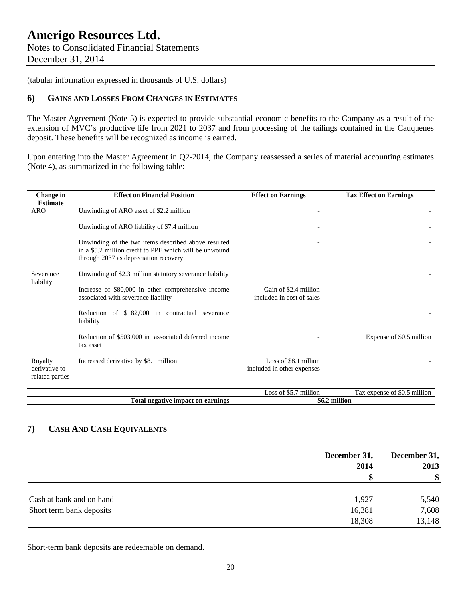(tabular information expressed in thousands of U.S. dollars)

#### **6) GAINS AND LOSSES FROM CHANGES IN ESTIMATES**

The Master Agreement (Note 5) is expected to provide substantial economic benefits to the Company as a result of the extension of MVC's productive life from 2021 to 2037 and from processing of the tailings contained in the Cauquenes deposit. These benefits will be recognized as income is earned.

Upon entering into the Master Agreement in Q2-2014, the Company reassessed a series of material accounting estimates (Note 4), as summarized in the following table:

| <b>Change</b> in<br><b>Estimate</b>         | <b>Effect on Financial Position</b>                                                                                                                     | <b>Effect on Earnings</b>                           | <b>Tax Effect on Earnings</b> |
|---------------------------------------------|---------------------------------------------------------------------------------------------------------------------------------------------------------|-----------------------------------------------------|-------------------------------|
| ARO                                         | Unwinding of ARO asset of \$2.2 million                                                                                                                 | $\overline{\phantom{0}}$                            |                               |
|                                             | Unwinding of ARO liability of \$7.4 million                                                                                                             |                                                     |                               |
|                                             | Unwinding of the two items described above resulted<br>in a \$5.2 million credit to PPE which will be unwound<br>through 2037 as depreciation recovery. |                                                     |                               |
| Severance<br>liability                      | Unwinding of \$2.3 million statutory severance liability                                                                                                |                                                     |                               |
|                                             | Increase of \$80,000 in other comprehensive income<br>associated with severance liability                                                               | Gain of \$2.4 million<br>included in cost of sales  |                               |
|                                             | Reduction of \$182,000 in contractual severance<br>liability                                                                                            |                                                     |                               |
|                                             | Reduction of \$503,000 in associated deferred income<br>tax asset                                                                                       |                                                     | Expense of \$0.5 million      |
| Royalty<br>derivative to<br>related parties | Increased derivative by \$8.1 million                                                                                                                   | Loss of \$8.1 million<br>included in other expenses |                               |
|                                             |                                                                                                                                                         | Loss of \$5.7 million                               | Tax expense of \$0.5 million  |
|                                             | Total negative impact on earnings                                                                                                                       |                                                     | \$6.2 million                 |

### **7) CASH AND CASH EQUIVALENTS**

|                          | December 31, | December 31, |
|--------------------------|--------------|--------------|
|                          | 2014         | 2013         |
|                          |              | \$           |
| Cash at bank and on hand | 1,927        | 5,540        |
| Short term bank deposits | 16,381       | 7,608        |
|                          | 18,308       | 13,148       |

Short-term bank deposits are redeemable on demand.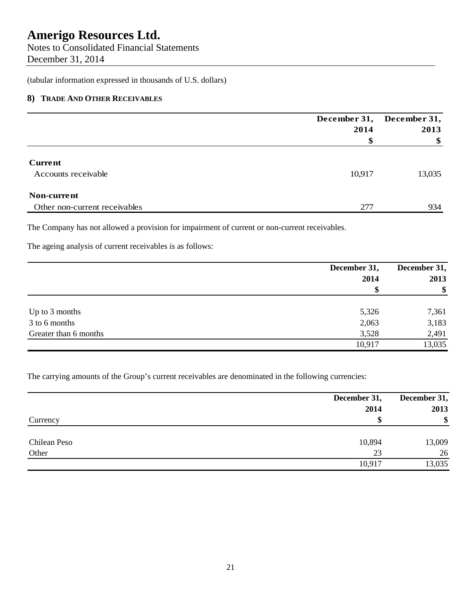Notes to Consolidated Financial Statements December 31, 2014

(tabular information expressed in thousands of U.S. dollars)

### **8) TRADE AND OTHER RECEIVABLES**

|                               |        | December 31, December 31, |  |
|-------------------------------|--------|---------------------------|--|
|                               | 2014   | 2013                      |  |
|                               | \$     | $\boldsymbol{\$}$         |  |
| <b>Current</b>                |        |                           |  |
| Accounts receivable           | 10,917 | 13,035                    |  |
| Non-current                   |        |                           |  |
| Other non-current receivables | 277    | 934                       |  |

The Company has not allowed a provision for impairment of current or non-current receivables.

The ageing analysis of current receivables is as follows:

|                       | December 31, | December 31, |  |
|-----------------------|--------------|--------------|--|
|                       | 2014         | 2013         |  |
|                       | S            | \$           |  |
| Up to 3 months        | 5,326        | 7,361        |  |
| 3 to 6 months         | 2,063        | 3,183        |  |
| Greater than 6 months | 3,528        | 2,491        |  |
|                       | 10,917       | 13,035       |  |

The carrying amounts of the Group's current receivables are denominated in the following currencies:

|              | December 31, | December 31,      |
|--------------|--------------|-------------------|
|              | 2014         | 2013              |
| Currency     | S            | $\boldsymbol{\$}$ |
| Chilean Peso | 10,894       | 13,009            |
| Other        | 23           | 26                |
|              | 10,917       | 13,035            |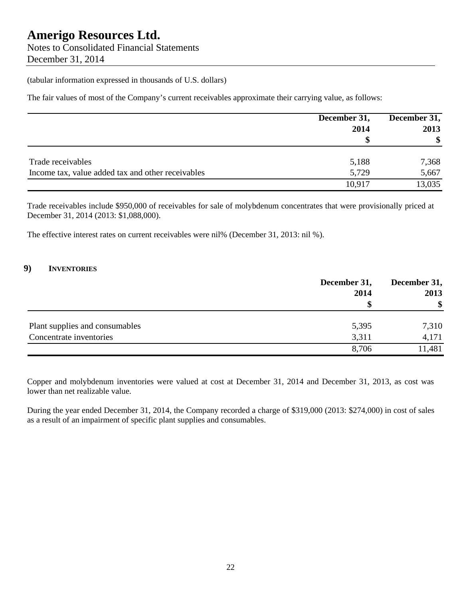### **Amerigo Resources Ltd.**  Notes to Consolidated Financial Statements December 31, 2014

#### (tabular information expressed in thousands of U.S. dollars)

The fair values of most of the Company's current receivables approximate their carrying value, as follows:

|                                                   | December 31,<br>2014 | December 31,<br>2013<br>\$ |
|---------------------------------------------------|----------------------|----------------------------|
| Trade receivables                                 | 5,188                | 7,368                      |
| Income tax, value added tax and other receivables | 5,729                | 5,667                      |
|                                                   | 10,917               | 13,035                     |

Trade receivables include \$950,000 of receivables for sale of molybdenum concentrates that were provisionally priced at December 31, 2014 (2013: \$1,088,000).

The effective interest rates on current receivables were nil% (December 31, 2013: nil %).

#### **9) INVENTORIES**

|                                | December 31,<br>2014<br>S | December 31,<br>2013<br>\$ |
|--------------------------------|---------------------------|----------------------------|
| Plant supplies and consumables | 5,395                     | 7,310                      |
| Concentrate inventories        | 3,311<br>8,706            | 4,171<br>11,481            |

Copper and molybdenum inventories were valued at cost at December 31, 2014 and December 31, 2013, as cost was lower than net realizable value.

During the year ended December 31, 2014, the Company recorded a charge of \$319,000 (2013: \$274,000) in cost of sales as a result of an impairment of specific plant supplies and consumables.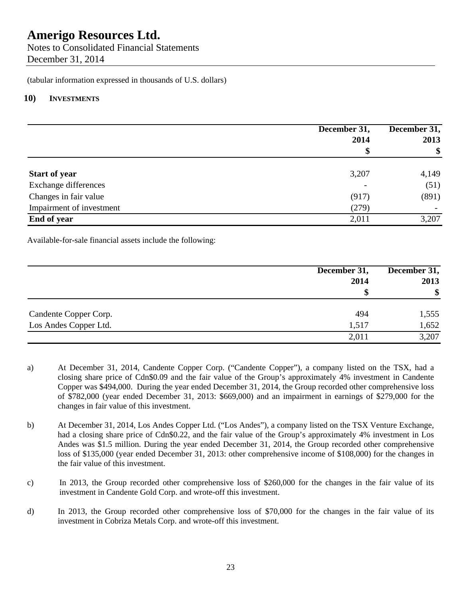Notes to Consolidated Financial Statements December 31, 2014

(tabular information expressed in thousands of U.S. dollars)

#### **10) INVESTMENTS**

|                             | December 31, | December 31, |  |
|-----------------------------|--------------|--------------|--|
|                             | 2014         | 2013<br>\$   |  |
|                             |              |              |  |
| <b>Start of year</b>        | 3,207        | 4,149        |  |
| <b>Exchange differences</b> |              | (51)         |  |
| Changes in fair value       | (917)        | (891)        |  |
| Impairment of investment    | (279)        |              |  |
| End of year                 | 2,011        | 3,207        |  |

Available-for-sale financial assets include the following:

|                       | December 31, | December 31,  |  |
|-----------------------|--------------|---------------|--|
|                       | 2014         | 2013          |  |
|                       |              | $\mathbf{\$}$ |  |
| Candente Copper Corp. | 494          | 1,555         |  |
| Los Andes Copper Ltd. | 1,517        | 1,652         |  |
|                       | 2,011        | 3,207         |  |

- a) At December 31, 2014, Candente Copper Corp. ("Candente Copper"), a company listed on the TSX, had a closing share price of Cdn\$0.09 and the fair value of the Group's approximately 4% investment in Candente Copper was \$494,000. During the year ended December 31, 2014, the Group recorded other comprehensive loss of \$782,000 (year ended December 31, 2013: \$669,000) and an impairment in earnings of \$279,000 for the changes in fair value of this investment.
- b) At December 31, 2014, Los Andes Copper Ltd. ("Los Andes"), a company listed on the TSX Venture Exchange, had a closing share price of Cdn\$0.22, and the fair value of the Group's approximately 4% investment in Los Andes was \$1.5 million. During the year ended December 31, 2014, the Group recorded other comprehensive loss of \$135,000 (year ended December 31, 2013: other comprehensive income of \$108,000) for the changes in the fair value of this investment.
- c) In 2013, the Group recorded other comprehensive loss of \$260,000 for the changes in the fair value of its investment in Candente Gold Corp. and wrote-off this investment.
- d) In 2013, the Group recorded other comprehensive loss of \$70,000 for the changes in the fair value of its investment in Cobriza Metals Corp. and wrote-off this investment.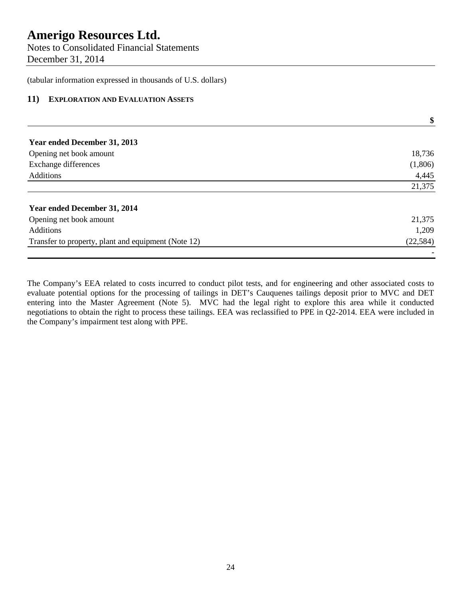Notes to Consolidated Financial Statements December 31, 2014

(tabular information expressed in thousands of U.S. dollars)

#### **11) EXPLORATION AND EVALUATION ASSETS**

|                                                     | \$        |
|-----------------------------------------------------|-----------|
| Year ended December 31, 2013                        |           |
| Opening net book amount                             | 18,736    |
| Exchange differences                                | (1,806)   |
| Additions                                           | 4,445     |
|                                                     | 21,375    |
| Year ended December 31, 2014                        |           |
| Opening net book amount                             | 21,375    |
| Additions                                           | 1,209     |
| Transfer to property, plant and equipment (Note 12) | (22, 584) |
|                                                     |           |

The Company's EEA related to costs incurred to conduct pilot tests, and for engineering and other associated costs to evaluate potential options for the processing of tailings in DET's Cauquenes tailings deposit prior to MVC and DET entering into the Master Agreement (Note 5). MVC had the legal right to explore this area while it conducted negotiations to obtain the right to process these tailings. EEA was reclassified to PPE in Q2-2014. EEA were included in the Company's impairment test along with PPE.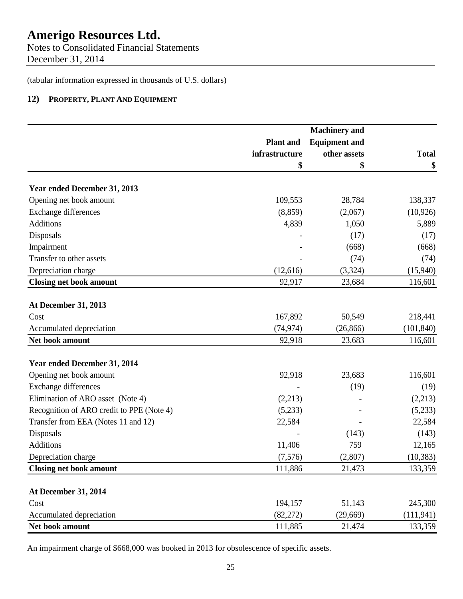Notes to Consolidated Financial Statements December 31, 2014

(tabular information expressed in thousands of U.S. dollars)

### **12) PROPERTY, PLANT AND EQUIPMENT**

|                                           | <b>Plant</b> and | <b>Equipment and</b> |              |
|-------------------------------------------|------------------|----------------------|--------------|
|                                           | infrastructure   | other assets         | <b>Total</b> |
|                                           | \$               | \$                   | \$           |
| Year ended December 31, 2013              |                  |                      |              |
| Opening net book amount                   | 109,553          | 28,784               | 138,337      |
| Exchange differences                      | (8, 859)         | (2,067)              | (10, 926)    |
| Additions                                 | 4,839            | 1,050                | 5,889        |
| Disposals                                 |                  | (17)                 | (17)         |
| Impairment                                |                  | (668)                | (668)        |
| Transfer to other assets                  |                  | (74)                 | (74)         |
| Depreciation charge                       | (12, 616)        | (3,324)              | (15,940)     |
| <b>Closing net book amount</b>            | 92,917           | 23,684               | 116,601      |
| At December 31, 2013                      |                  |                      |              |
| Cost                                      | 167,892          | 50,549               | 218,441      |
| Accumulated depreciation                  | (74, 974)        | (26, 866)            | (101, 840)   |
| Net book amount                           | 92,918           | 23,683               | 116,601      |
|                                           |                  |                      |              |
| Year ended December 31, 2014              |                  |                      |              |
| Opening net book amount                   | 92,918           | 23,683               | 116,601      |
| Exchange differences                      |                  | (19)                 | (19)         |
| Elimination of ARO asset (Note 4)         | (2,213)          |                      | (2,213)      |
| Recognition of ARO credit to PPE (Note 4) | (5,233)          |                      | (5,233)      |
| Transfer from EEA (Notes 11 and 12)       | 22,584           |                      | 22,584       |
| Disposals                                 |                  | (143)                | (143)        |
| <b>Additions</b>                          | 11,406           | 759                  | 12,165       |
| Depreciation charge                       | (7,576)          | (2,807)              | (10, 383)    |
| <b>Closing net book amount</b>            | 111,886          | 21,473               | 133,359      |
| At December 31, 2014                      |                  |                      |              |
| Cost                                      | 194,157          | 51,143               | 245,300      |
| Accumulated depreciation                  | (82, 272)        | (29,669)             | (111, 941)   |
| Net book amount                           | 111,885          | 21,474               | 133,359      |

An impairment charge of \$668,000 was booked in 2013 for obsolescence of specific assets.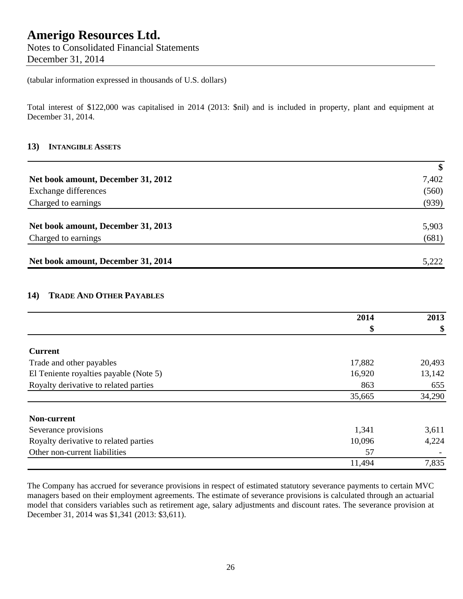Notes to Consolidated Financial Statements December 31, 2014

(tabular information expressed in thousands of U.S. dollars)

Total interest of \$122,000 was capitalised in 2014 (2013: \$nil) and is included in property, plant and equipment at December 31, 2014.

#### **13) INTANGIBLE ASSETS**

|                                    | $\boldsymbol{\mathsf{s}}$ |
|------------------------------------|---------------------------|
| Net book amount, December 31, 2012 | 7,402                     |
| Exchange differences               | (560)                     |
| Charged to earnings                | (939)                     |
|                                    |                           |
| Net book amount, December 31, 2013 | 5,903                     |
| Charged to earnings                | (681)                     |
|                                    |                           |
| Net book amount, December 31, 2014 | 5,222                     |

### **14) TRADE AND OTHER PAYABLES**

|                                        | 2014   | 2013   |
|----------------------------------------|--------|--------|
|                                        | \$     | \$     |
|                                        |        |        |
| <b>Current</b>                         |        |        |
| Trade and other payables               | 17,882 | 20,493 |
| El Teniente royalties payable (Note 5) | 16,920 | 13,142 |
| Royalty derivative to related parties  | 863    | 655    |
|                                        | 35,665 | 34,290 |
| Non-current                            |        |        |
| Severance provisions                   | 1,341  | 3,611  |
| Royalty derivative to related parties  | 10,096 | 4,224  |
| Other non-current liabilities          | 57     |        |
|                                        | 11,494 | 7,835  |

The Company has accrued for severance provisions in respect of estimated statutory severance payments to certain MVC managers based on their employment agreements. The estimate of severance provisions is calculated through an actuarial model that considers variables such as retirement age, salary adjustments and discount rates. The severance provision at December 31, 2014 was \$1,341 (2013: \$3,611).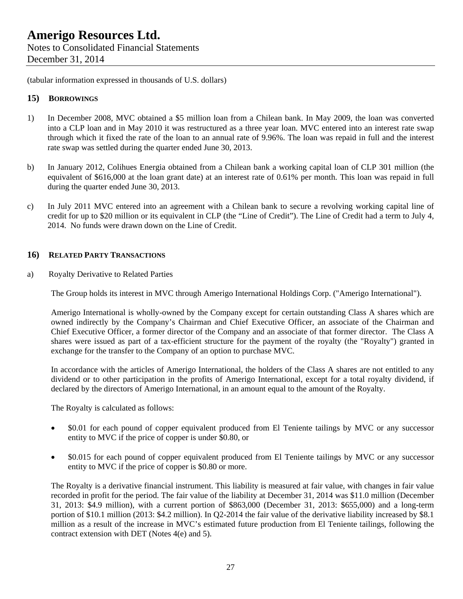Notes to Consolidated Financial Statements December 31, 2014

(tabular information expressed in thousands of U.S. dollars)

#### **15) BORROWINGS**

- 1) In December 2008, MVC obtained a \$5 million loan from a Chilean bank. In May 2009, the loan was converted into a CLP loan and in May 2010 it was restructured as a three year loan. MVC entered into an interest rate swap through which it fixed the rate of the loan to an annual rate of 9.96%. The loan was repaid in full and the interest rate swap was settled during the quarter ended June 30, 2013.
- b) In January 2012, Colihues Energia obtained from a Chilean bank a working capital loan of CLP 301 million (the equivalent of \$616,000 at the loan grant date) at an interest rate of 0.61% per month. This loan was repaid in full during the quarter ended June 30, 2013.
- c) In July 2011 MVC entered into an agreement with a Chilean bank to secure a revolving working capital line of credit for up to \$20 million or its equivalent in CLP (the "Line of Credit"). The Line of Credit had a term to July 4, 2014. No funds were drawn down on the Line of Credit.

#### **16) RELATED PARTY TRANSACTIONS**

a) Royalty Derivative to Related Parties

The Group holds its interest in MVC through Amerigo International Holdings Corp. ("Amerigo International").

Amerigo International is wholly-owned by the Company except for certain outstanding Class A shares which are owned indirectly by the Company's Chairman and Chief Executive Officer, an associate of the Chairman and Chief Executive Officer, a former director of the Company and an associate of that former director. The Class A shares were issued as part of a tax-efficient structure for the payment of the royalty (the "Royalty") granted in exchange for the transfer to the Company of an option to purchase MVC.

In accordance with the articles of Amerigo International, the holders of the Class A shares are not entitled to any dividend or to other participation in the profits of Amerigo International, except for a total royalty dividend, if declared by the directors of Amerigo International, in an amount equal to the amount of the Royalty.

The Royalty is calculated as follows:

- \$0.01 for each pound of copper equivalent produced from El Teniente tailings by MVC or any successor entity to MVC if the price of copper is under \$0.80, or
- \$0.015 for each pound of copper equivalent produced from El Teniente tailings by MVC or any successor entity to MVC if the price of copper is \$0.80 or more.

The Royalty is a derivative financial instrument. This liability is measured at fair value, with changes in fair value recorded in profit for the period. The fair value of the liability at December 31, 2014 was \$11.0 million (December 31, 2013: \$4.9 million), with a current portion of \$863,000 (December 31, 2013: \$655,000) and a long-term portion of \$10.1 million (2013: \$4.2 million). In Q2-2014 the fair value of the derivative liability increased by \$8.1 million as a result of the increase in MVC's estimated future production from El Teniente tailings, following the contract extension with DET (Notes 4(e) and 5).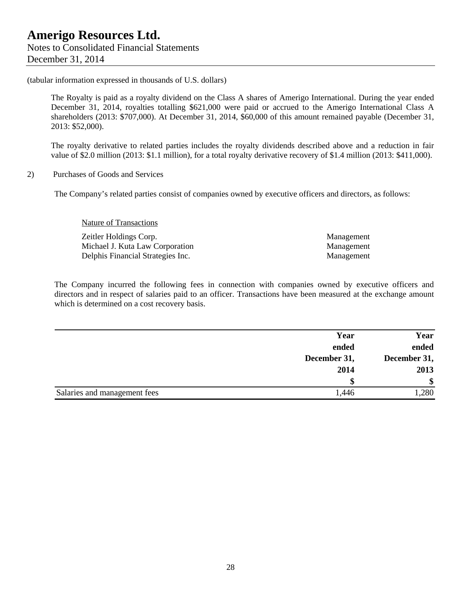(tabular information expressed in thousands of U.S. dollars)

The Royalty is paid as a royalty dividend on the Class A shares of Amerigo International. During the year ended December 31, 2014, royalties totalling \$621,000 were paid or accrued to the Amerigo International Class A shareholders (2013: \$707,000). At December 31, 2014, \$60,000 of this amount remained payable (December 31, 2013: \$52,000).

The royalty derivative to related parties includes the royalty dividends described above and a reduction in fair value of \$2.0 million (2013: \$1.1 million), for a total royalty derivative recovery of \$1.4 million (2013: \$411,000).

#### 2) Purchases of Goods and Services

The Company's related parties consist of companies owned by executive officers and directors, as follows:

| <b>Nature of Transactions</b>     |            |
|-----------------------------------|------------|
| Zeitler Holdings Corp.            | Management |
| Michael J. Kuta Law Corporation   | Management |
| Delphis Financial Strategies Inc. | Management |

The Company incurred the following fees in connection with companies owned by executive officers and directors and in respect of salaries paid to an officer. Transactions have been measured at the exchange amount which is determined on a cost recovery basis.

|                              | Year         | Year         |
|------------------------------|--------------|--------------|
|                              | ended        | ended        |
|                              | December 31, | December 31, |
|                              | 2014         | 2013         |
|                              | S            | \$           |
| Salaries and management fees | 1,446        | ,280         |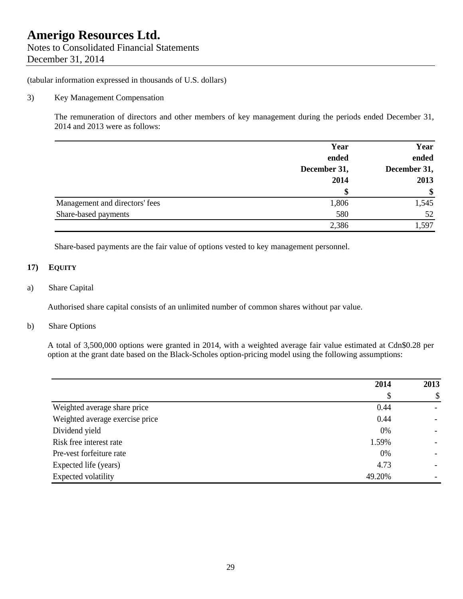Notes to Consolidated Financial Statements December 31, 2014

#### (tabular information expressed in thousands of U.S. dollars)

#### 3) Key Management Compensation

The remuneration of directors and other members of key management during the periods ended December 31, 2014 and 2013 were as follows:

|                                | Year         | Year         |
|--------------------------------|--------------|--------------|
|                                | ended        | ended        |
|                                | December 31, | December 31, |
|                                | 2014         | 2013         |
|                                |              | \$           |
| Management and directors' fees | 1,806        | 1,545        |
| Share-based payments           | 580          | 52           |
|                                | 2,386        | 1,597        |

Share-based payments are the fair value of options vested to key management personnel.

#### **17) EQUITY**

#### a) Share Capital

Authorised share capital consists of an unlimited number of common shares without par value.

#### b) Share Options

A total of 3,500,000 options were granted in 2014, with a weighted average fair value estimated at Cdn\$0.28 per option at the grant date based on the Black-Scholes option-pricing model using the following assumptions:

|                                 | 2014   | 2013                      |
|---------------------------------|--------|---------------------------|
|                                 |        | $\boldsymbol{\mathsf{S}}$ |
| Weighted average share price    | 0.44   |                           |
| Weighted average exercise price | 0.44   |                           |
| Dividend yield                  | 0%     |                           |
| Risk free interest rate         | 1.59%  |                           |
| Pre-vest forfeiture rate        | $0\%$  |                           |
| Expected life (years)           | 4.73   |                           |
| Expected volatility             | 49.20% |                           |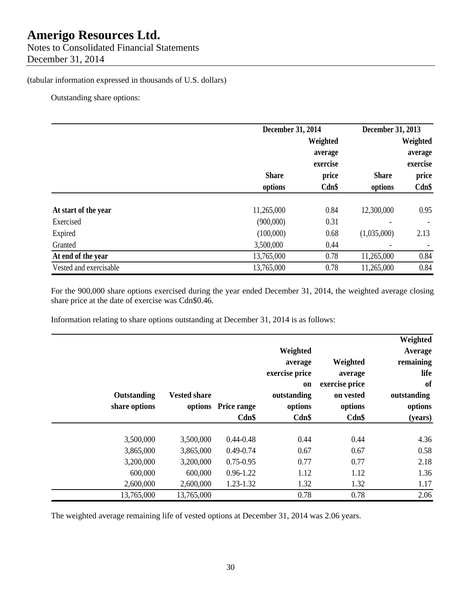Notes to Consolidated Financial Statements December 31, 2014

#### (tabular information expressed in thousands of U.S. dollars)

Outstanding share options:

|                        | December 31, 2014 | December 31, 2013 |              |          |
|------------------------|-------------------|-------------------|--------------|----------|
|                        |                   | Weighted          |              | Weighted |
|                        |                   | average           |              | average  |
|                        |                   | exercise          |              | exercise |
|                        | <b>Share</b>      | price             | <b>Share</b> | price    |
|                        | options           | Cdn\$             | options      | $Cdn$ \$ |
| At start of the year   | 11,265,000        | 0.84              | 12,300,000   | 0.95     |
| Exercised              | (900,000)         | 0.31              | ٠            |          |
| Expired                | (100,000)         | 0.68              | (1,035,000)  | 2.13     |
| Granted                | 3,500,000         | 0.44              |              |          |
| At end of the year     | 13,765,000        | 0.78              | 11,265,000   | 0.84     |
| Vested and exercisable | 13,765,000        | 0.78              | 11,265,000   | 0.84     |

For the 900,000 share options exercised during the year ended December 31, 2014, the weighted average closing share price at the date of exercise was Cdn\$0.46.

Information relating to share options outstanding at December 31, 2014 is as follows:

|               |                     |                     |                |                | Weighted    |
|---------------|---------------------|---------------------|----------------|----------------|-------------|
|               |                     |                     | Weighted       |                | Average     |
|               |                     |                     | average        | Weighted       | remaining   |
|               |                     |                     | exercise price | average        | life        |
|               |                     |                     | <b>on</b>      | exercise price | of          |
| Outstanding   | <b>Vested share</b> |                     | outstanding    | on vested      | outstanding |
| share options |                     | options Price range | options        | options        | options     |
|               |                     | Cdn\$               | Cdn\$          | Cdn\$          | (years)     |
|               |                     |                     |                |                |             |
| 3,500,000     | 3,500,000           | $0.44 - 0.48$       | 0.44           | 0.44           | 4.36        |
| 3,865,000     | 3,865,000           | $0.49 - 0.74$       | 0.67           | 0.67           | 0.58        |
| 3,200,000     | 3,200,000           | $0.75 - 0.95$       | 0.77           | 0.77           | 2.18        |
| 600,000       | 600,000             | $0.96 - 1.22$       | 1.12           | 1.12           | 1.36        |
| 2,600,000     | 2,600,000           | 1.23-1.32           | 1.32           | 1.32           | 1.17        |
| 13,765,000    | 13,765,000          |                     | 0.78           | 0.78           | 2.06        |

The weighted average remaining life of vested options at December 31, 2014 was 2.06 years.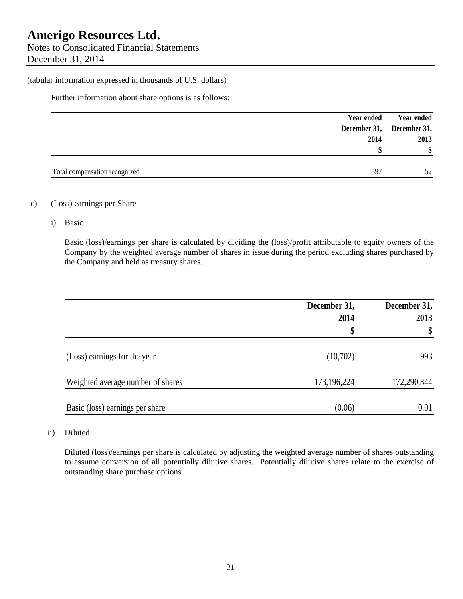Notes to Consolidated Financial Statements December 31, 2014

### (tabular information expressed in thousands of U.S. dollars)

Further information about share options is as follows:

| <b>Year ended</b>                    | <b>Year ended</b> |
|--------------------------------------|-------------------|
| December 31, December 31,            |                   |
| 2014                                 | 2013              |
|                                      | \$                |
|                                      |                   |
| Total compensation recognized<br>597 | 52                |

#### c) (Loss) earnings per Share

i) Basic

Basic (loss)/earnings per share is calculated by dividing the (loss)/profit attributable to equity owners of the Company by the weighted average number of shares in issue during the period excluding shares purchased by the Company and held as treasury shares.

|                                   | December 31,<br>2014 | December 31,<br>2013 |  |
|-----------------------------------|----------------------|----------------------|--|
|                                   | \$                   | \$                   |  |
| (Loss) earnings for the year      | (10,702)             | 993                  |  |
| Weighted average number of shares | 173, 196, 224        | 172,290,344          |  |
| Basic (loss) earnings per share   | (0.06)               | 0.01                 |  |

#### ii) Diluted

Diluted (loss)/earnings per share is calculated by adjusting the weighted average number of shares outstanding to assume conversion of all potentially dilutive shares. Potentially dilutive shares relate to the exercise of outstanding share purchase options.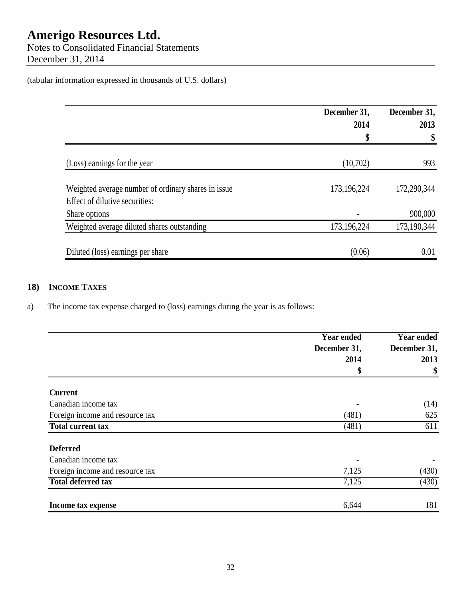Notes to Consolidated Financial Statements December 31, 2014

(tabular information expressed in thousands of U.S. dollars)

|                                                                                       | December 31,<br>2014<br>\$ | December 31,<br>2013<br>\$ |
|---------------------------------------------------------------------------------------|----------------------------|----------------------------|
| (Loss) earnings for the year                                                          | (10,702)                   | 993                        |
| Weighted average number of ordinary shares in issue<br>Effect of dilutive securities: | 173,196,224                | 172,290,344                |
| Share options                                                                         |                            | 900,000                    |
| Weighted average diluted shares outstanding                                           | 173,196,224                | 173,190,344                |
| Diluted (loss) earnings per share                                                     | (0.06)                     | 0.01                       |

### **18) INCOME TAXES**

a) The income tax expense charged to (loss) earnings during the year is as follows:

|                                 | <b>Year ended</b><br>December 31,<br>2014<br>\$ | <b>Year ended</b><br>December 31,<br>2013<br>\$ |
|---------------------------------|-------------------------------------------------|-------------------------------------------------|
|                                 |                                                 |                                                 |
| <b>Current</b>                  |                                                 |                                                 |
| Canadian income tax             |                                                 | (14)                                            |
| Foreign income and resource tax | (481)                                           | 625                                             |
| <b>Total current tax</b>        | (481)                                           | 611                                             |
| <b>Deferred</b>                 |                                                 |                                                 |
| Canadian income tax             |                                                 |                                                 |
| Foreign income and resource tax | 7,125                                           | (430)                                           |
| <b>Total deferred tax</b>       | 7,125                                           | (430)                                           |
| Income tax expense              | 6,644                                           | 181                                             |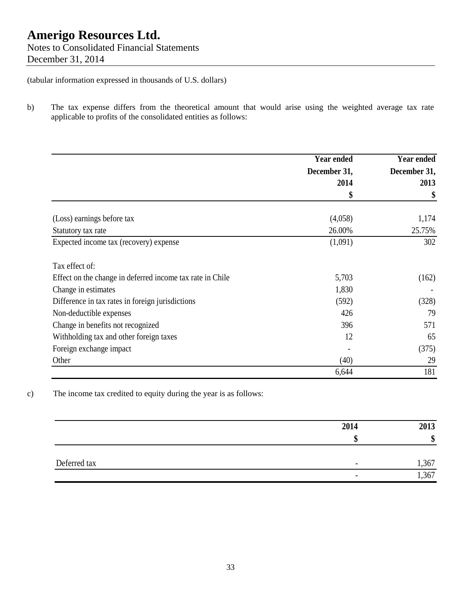Notes to Consolidated Financial Statements December 31, 2014

(tabular information expressed in thousands of U.S. dollars)

b) The tax expense differs from the theoretical amount that would arise using the weighted average tax rate applicable to profits of the consolidated entities as follows:

|                                                           | <b>Year ended</b> | Year ended   |  |
|-----------------------------------------------------------|-------------------|--------------|--|
|                                                           | December 31,      | December 31, |  |
|                                                           | 2014              | 2013         |  |
|                                                           | \$                | \$           |  |
| (Loss) earnings before tax                                | (4,058)           | 1,174        |  |
| Statutory tax rate                                        | 26.00%            | 25.75%       |  |
| Expected income tax (recovery) expense                    | (1,091)           | 302          |  |
| Tax effect of:                                            |                   |              |  |
| Effect on the change in deferred income tax rate in Chile | 5,703             | (162)        |  |
| Change in estimates                                       | 1,830             |              |  |
| Difference in tax rates in foreign jurisdictions          | (592)             | (328)        |  |
| Non-deductible expenses                                   | 426               | 79           |  |
| Change in benefits not recognized                         | 396               | 571          |  |
| Withholding tax and other foreign taxes                   | 12                | 65           |  |
| Foreign exchange impact                                   |                   | (375)        |  |
| Other                                                     | (40)              | 29           |  |
|                                                           | 6,644             | 181          |  |

c) The income tax credited to equity during the year is as follows:

|              | 2014                     | 2013    |
|--------------|--------------------------|---------|
|              | ۱D                       | ₼<br>۱D |
| Deferred tax | $\overline{\phantom{0}}$ | 1,367   |
|              |                          | 1,367   |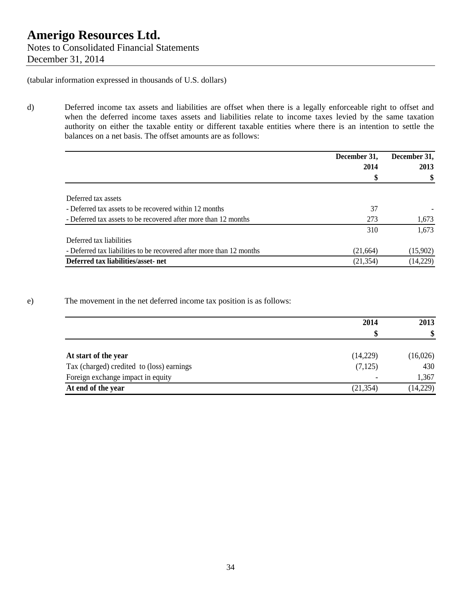Notes to Consolidated Financial Statements

December 31, 2014

#### (tabular information expressed in thousands of U.S. dollars)

d) Deferred income tax assets and liabilities are offset when there is a legally enforceable right to offset and when the deferred income taxes assets and liabilities relate to income taxes levied by the same taxation authority on either the taxable entity or different taxable entities where there is an intention to settle the balances on a net basis. The offset amounts are as follows:

|                                                                      | December 31, | December 31, |  |
|----------------------------------------------------------------------|--------------|--------------|--|
|                                                                      | 2014         | 2013         |  |
|                                                                      | \$           |              |  |
| Deferred tax assets                                                  |              |              |  |
| - Deferred tax assets to be recovered within 12 months               | 37           |              |  |
| - Deferred tax assets to be recovered after more than 12 months      | 273          | 1,673        |  |
|                                                                      | 310          | 1,673        |  |
| Deferred tax liabilities                                             |              |              |  |
| - Deferred tax liabilities to be recovered after more than 12 months | (21, 664)    | (15,902)     |  |
| Deferred tax liabilities/asset-net                                   | (21, 354)    | (14,229)     |  |

e) The movement in the net deferred income tax position is as follows:

|                                           | 2014      | 2013     |
|-------------------------------------------|-----------|----------|
|                                           | S         | \$       |
| At start of the year                      | (14,229)  | (16,026) |
| Tax (charged) credited to (loss) earnings | (7,125)   | 430      |
| Foreign exchange impact in equity         |           | 1,367    |
| At end of the year                        | (21, 354) | (14,229) |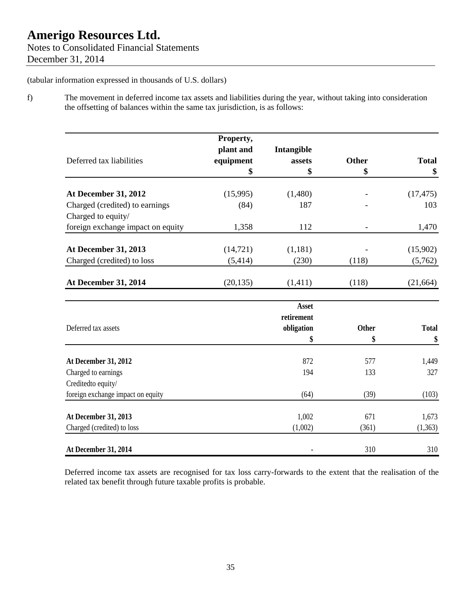### **Amerigo Resources Ltd.**  Notes to Consolidated Financial Statements December 31, 2014

(tabular information expressed in thousands of U.S. dollars)

f) The movement in deferred income tax assets and liabilities during the year, without taking into consideration the offsetting of balances within the same tax jurisdiction, is as follows:

|                                   | Property, |            |              |              |
|-----------------------------------|-----------|------------|--------------|--------------|
|                                   | plant and | Intangible |              |              |
| Deferred tax liabilities          | equipment | assets     | <b>Other</b> | <b>Total</b> |
|                                   | \$        | \$         | \$           | \$           |
| At December 31, 2012              | (15,995)  | (1,480)    |              | (17, 475)    |
| Charged (credited) to earnings    | (84)      | 187        |              | 103          |
| Charged to equity/                |           |            |              |              |
| foreign exchange impact on equity | 1,358     | 112        |              | 1,470        |
| <b>At December 31, 2013</b>       | (14, 721) | (1,181)    |              | (15,902)     |
| Charged (credited) to loss        | (5, 414)  | (230)      | (118)        | (5,762)      |
| At December 31, 2014              | (20, 135) | (1,411)    | (118)        | (21, 664)    |
|                                   |           | Asset      |              |              |
|                                   |           | retirement |              |              |
| Deferred tax assets               |           | obligation | <b>Other</b> | <b>Total</b> |
|                                   |           | \$         | \$           | \$           |
| At December 31, 2012              |           | 872        | 577          | 1,449        |
| Charged to earnings               |           | 194        | 133          | 327          |
| Creditedto equity/                |           |            |              |              |
| foreign exchange impact on equity |           | (64)       | (39)         | (103)        |
| At December 31, 2013              |           | 1,002      | 671          | 1,673        |
| Charged (credited) to loss        |           | (1,002)    | (361)        | (1, 363)     |

**At December 31, 2014** 310 310

Deferred income tax assets are recognised for tax loss carry-forwards to the extent that the realisation of the related tax benefit through future taxable profits is probable.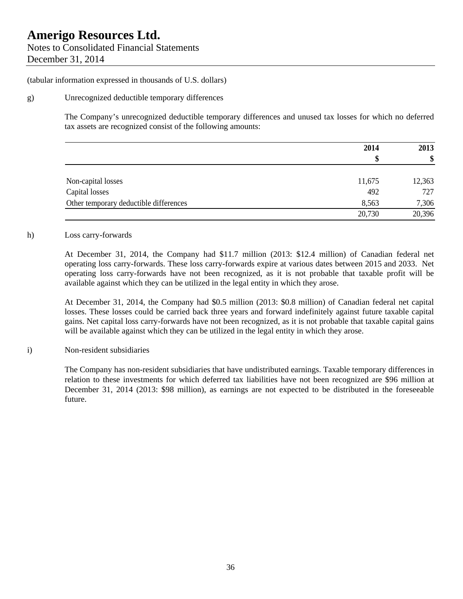Notes to Consolidated Financial Statements December 31, 2014

### (tabular information expressed in thousands of U.S. dollars)

### g) Unrecognized deductible temporary differences

 The Company's unrecognized deductible temporary differences and unused tax losses for which no deferred tax assets are recognized consist of the following amounts:

|                                        | 2014   | 2013   |
|----------------------------------------|--------|--------|
|                                        | ٨D     | \$     |
| Non-capital losses                     | 11,675 | 12,363 |
| Capital losses                         | 492    | 727    |
| Other temporary deductible differences | 8,563  | 7,306  |
|                                        | 20,730 | 20,396 |

### h) Loss carry-forwards

At December 31, 2014, the Company had \$11.7 million (2013: \$12.4 million) of Canadian federal net operating loss carry-forwards. These loss carry-forwards expire at various dates between 2015 and 2033. Net operating loss carry-forwards have not been recognized, as it is not probable that taxable profit will be available against which they can be utilized in the legal entity in which they arose.

At December 31, 2014, the Company had \$0.5 million (2013: \$0.8 million) of Canadian federal net capital losses. These losses could be carried back three years and forward indefinitely against future taxable capital gains. Net capital loss carry-forwards have not been recognized, as it is not probable that taxable capital gains will be available against which they can be utilized in the legal entity in which they arose.

### i) Non-resident subsidiaries

The Company has non-resident subsidiaries that have undistributed earnings. Taxable temporary differences in relation to these investments for which deferred tax liabilities have not been recognized are \$96 million at December 31, 2014 (2013: \$98 million), as earnings are not expected to be distributed in the foreseeable future.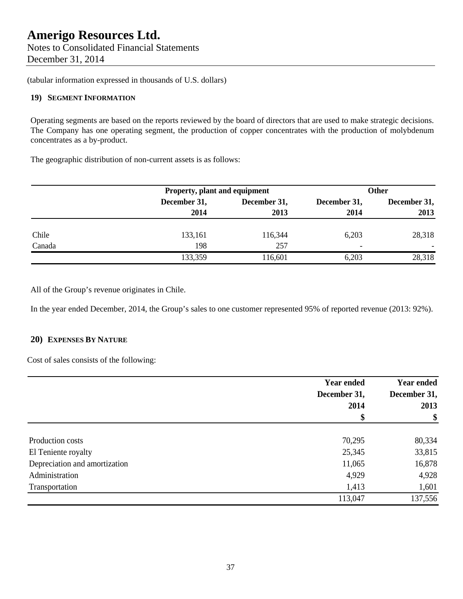Notes to Consolidated Financial Statements December 31, 2014

(tabular information expressed in thousands of U.S. dollars)

#### **19) SEGMENT INFORMATION**

Operating segments are based on the reports reviewed by the board of directors that are used to make strategic decisions. The Company has one operating segment, the production of copper concentrates with the production of molybdenum concentrates as a by-product.

The geographic distribution of non-current assets is as follows:

|        |              | Property, plant and equipment |              | <b>Other</b> |
|--------|--------------|-------------------------------|--------------|--------------|
|        | December 31, | December 31,                  | December 31, | December 31, |
|        | 2014         | 2013                          |              | 2013         |
| Chile  | 133,161      | 116,344                       | 6,203        | 28,318       |
| Canada | 198          | 257                           |              |              |
|        | 133,359      | 116,601                       | 6,203        | 28,318       |

All of the Group's revenue originates in Chile.

In the year ended December, 2014, the Group's sales to one customer represented 95% of reported revenue (2013: 92%).

#### **20) EXPENSES BY NATURE**

Cost of sales consists of the following:

|                               | <b>Year ended</b><br>December 31,<br>2014 | <b>Year ended</b><br>December 31,<br>2013 |
|-------------------------------|-------------------------------------------|-------------------------------------------|
|                               | \$                                        | \$                                        |
| Production costs              | 70,295                                    | 80,334                                    |
| El Teniente royalty           | 25,345                                    | 33,815                                    |
| Depreciation and amortization | 11,065                                    | 16,878                                    |
| Administration                | 4,929                                     | 4,928                                     |
| Transportation                | 1,413                                     | 1,601                                     |
|                               | 113,047                                   | 137,556                                   |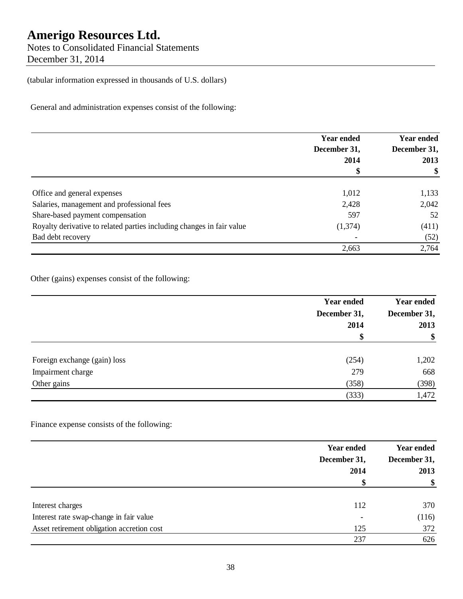Notes to Consolidated Financial Statements December 31, 2014

(tabular information expressed in thousands of U.S. dollars)

General and administration expenses consist of the following:

|                                                                       | <b>Year ended</b><br>December 31,<br>2014 | <b>Year ended</b><br>December 31,<br>2013<br>\$ |
|-----------------------------------------------------------------------|-------------------------------------------|-------------------------------------------------|
|                                                                       |                                           |                                                 |
| Office and general expenses                                           | 1,012                                     | 1,133                                           |
| Salaries, management and professional fees                            | 2,428                                     | 2,042                                           |
| Share-based payment compensation                                      | 597                                       | 52                                              |
| Royalty derivative to related parties including changes in fair value | (1,374)                                   | (411)                                           |
| Bad debt recovery                                                     |                                           | (52)                                            |
|                                                                       | 2,663                                     | 2,764                                           |

Other (gains) expenses consist of the following:

|                              | <b>Year ended</b> | <b>Year ended</b> |  |
|------------------------------|-------------------|-------------------|--|
|                              | December 31,      | December 31,      |  |
|                              | 2014              | 2013              |  |
|                              |                   | \$                |  |
| Foreign exchange (gain) loss | (254)             | 1,202             |  |
| Impairment charge            | 279               | 668               |  |
| Other gains                  | (358)             | (398)             |  |
|                              | (333)             | 1,472             |  |

#### Finance expense consists of the following:

|                                            | <b>Year ended</b><br>December 31,<br>2014 | <b>Year ended</b><br>December 31,<br>2013 |
|--------------------------------------------|-------------------------------------------|-------------------------------------------|
|                                            |                                           | \$                                        |
| Interest charges                           | 112                                       | 370                                       |
| Interest rate swap-change in fair value    |                                           | (116)                                     |
| Asset retirement obligation accretion cost | 125                                       | 372                                       |
|                                            | 237                                       | 626                                       |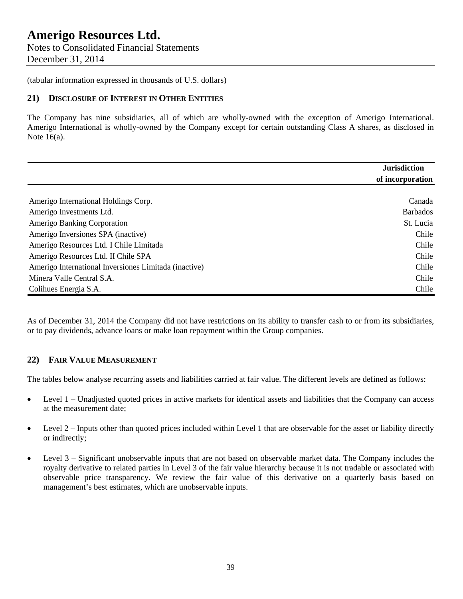Notes to Consolidated Financial Statements December 31, 2014

(tabular information expressed in thousands of U.S. dollars)

#### **21) DISCLOSURE OF INTEREST IN OTHER ENTITIES**

The Company has nine subsidiaries, all of which are wholly-owned with the exception of Amerigo International. Amerigo International is wholly-owned by the Company except for certain outstanding Class A shares, as disclosed in Note 16(a).

|                                                       | <b>Jurisdiction</b> |
|-------------------------------------------------------|---------------------|
|                                                       | of incorporation    |
| Amerigo International Holdings Corp.                  | Canada              |
| Amerigo Investments Ltd.                              | <b>Barbados</b>     |
| <b>Amerigo Banking Corporation</b>                    | St. Lucia           |
| Amerigo Inversiones SPA (inactive)                    | Chile               |
| Amerigo Resources Ltd. I Chile Limitada               | Chile               |
| Amerigo Resources Ltd. II Chile SPA                   | Chile               |
| Amerigo International Inversiones Limitada (inactive) | Chile               |
| Minera Valle Central S.A.                             | Chile               |
| Colibues Energia S.A.                                 | Chile               |

As of December 31, 2014 the Company did not have restrictions on its ability to transfer cash to or from its subsidiaries, or to pay dividends, advance loans or make loan repayment within the Group companies.

### **22) FAIR VALUE MEASUREMENT**

The tables below analyse recurring assets and liabilities carried at fair value. The different levels are defined as follows:

- Level 1 Unadjusted quoted prices in active markets for identical assets and liabilities that the Company can access at the measurement date;
- Level 2 Inputs other than quoted prices included within Level 1 that are observable for the asset or liability directly or indirectly;
- Level 3 Significant unobservable inputs that are not based on observable market data. The Company includes the royalty derivative to related parties in Level 3 of the fair value hierarchy because it is not tradable or associated with observable price transparency. We review the fair value of this derivative on a quarterly basis based on management's best estimates, which are unobservable inputs.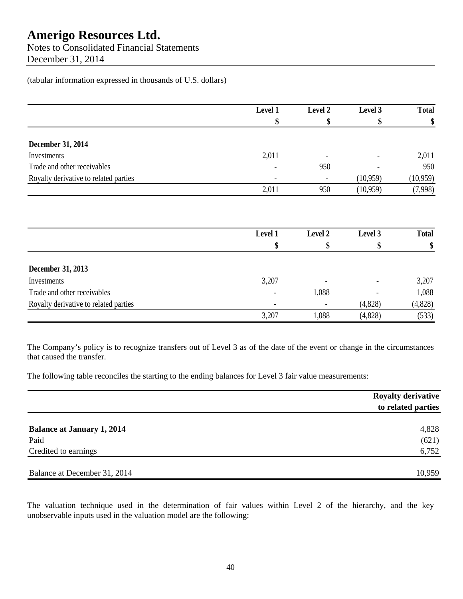Notes to Consolidated Financial Statements December 31, 2014

(tabular information expressed in thousands of U.S. dollars)

|                                       | Level 1 | Level 2                  | Level 3   | <b>Total</b> |
|---------------------------------------|---------|--------------------------|-----------|--------------|
|                                       |         |                          | \$        | \$           |
| December 31, 2014                     |         |                          |           |              |
| Investments                           | 2,011   | $\overline{\phantom{0}}$ |           | 2,011        |
| Trade and other receivables           |         | 950                      |           | 950          |
| Royalty derivative to related parties |         | $\overline{\phantom{a}}$ | (10, 959) | (10, 959)    |
|                                       | 2,011   | 950                      | (10, 959) | (7,998)      |

|                                       | Level 1                  | Level 2                  | Level 3 | <b>Total</b> |
|---------------------------------------|--------------------------|--------------------------|---------|--------------|
|                                       |                          |                          | ٨D      | \$           |
| December 31, 2013                     |                          |                          |         |              |
| Investments                           | 3,207                    | $\overline{\phantom{a}}$ |         | 3,207        |
| Trade and other receivables           | $\overline{\phantom{a}}$ | 1,088                    |         | 1,088        |
| Royalty derivative to related parties | $\overline{\phantom{a}}$ | $\overline{\phantom{a}}$ | (4,828) | (4,828)      |
|                                       | 3,207                    | 1,088                    | (4,828) | (533)        |

The Company's policy is to recognize transfers out of Level 3 as of the date of the event or change in the circumstances that caused the transfer.

The following table reconciles the starting to the ending balances for Level 3 fair value measurements:

|                                   | <b>Royalty derivative</b> |
|-----------------------------------|---------------------------|
|                                   | to related parties        |
| <b>Balance at January 1, 2014</b> | 4,828                     |
| Paid                              | (621)                     |
| Credited to earnings              | 6,752                     |
| Balance at December 31, 2014      | 10,959                    |

The valuation technique used in the determination of fair values within Level 2 of the hierarchy, and the key unobservable inputs used in the valuation model are the following: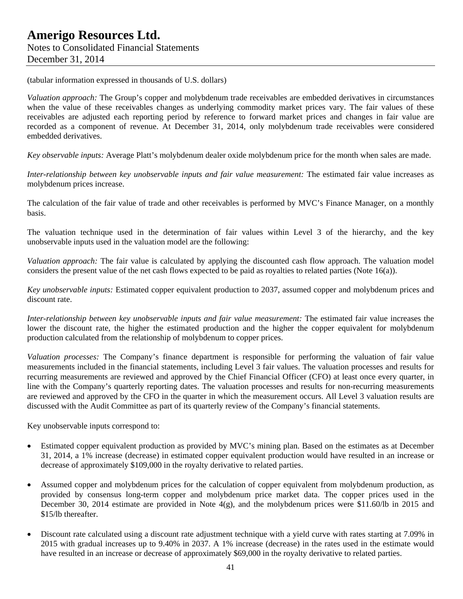(tabular information expressed in thousands of U.S. dollars)

*Valuation approach:* The Group's copper and molybdenum trade receivables are embedded derivatives in circumstances when the value of these receivables changes as underlying commodity market prices vary. The fair values of these receivables are adjusted each reporting period by reference to forward market prices and changes in fair value are recorded as a component of revenue. At December 31, 2014, only molybdenum trade receivables were considered embedded derivatives.

*Key observable inputs:* Average Platt's molybdenum dealer oxide molybdenum price for the month when sales are made.

*Inter-relationship between key unobservable inputs and fair value measurement:* The estimated fair value increases as molybdenum prices increase.

The calculation of the fair value of trade and other receivables is performed by MVC's Finance Manager, on a monthly basis.

The valuation technique used in the determination of fair values within Level 3 of the hierarchy, and the key unobservable inputs used in the valuation model are the following:

*Valuation approach:* The fair value is calculated by applying the discounted cash flow approach. The valuation model considers the present value of the net cash flows expected to be paid as royalties to related parties (Note 16(a)).

*Key unobservable inputs:* Estimated copper equivalent production to 2037, assumed copper and molybdenum prices and discount rate.

*Inter-relationship between key unobservable inputs and fair value measurement:* The estimated fair value increases the lower the discount rate, the higher the estimated production and the higher the copper equivalent for molybdenum production calculated from the relationship of molybdenum to copper prices.

*Valuation processes:* The Company's finance department is responsible for performing the valuation of fair value measurements included in the financial statements, including Level 3 fair values. The valuation processes and results for recurring measurements are reviewed and approved by the Chief Financial Officer (CFO) at least once every quarter, in line with the Company's quarterly reporting dates. The valuation processes and results for non-recurring measurements are reviewed and approved by the CFO in the quarter in which the measurement occurs. All Level 3 valuation results are discussed with the Audit Committee as part of its quarterly review of the Company's financial statements.

Key unobservable inputs correspond to:

- Estimated copper equivalent production as provided by MVC's mining plan. Based on the estimates as at December 31, 2014, a 1% increase (decrease) in estimated copper equivalent production would have resulted in an increase or decrease of approximately \$109,000 in the royalty derivative to related parties.
- Assumed copper and molybdenum prices for the calculation of copper equivalent from molybdenum production, as provided by consensus long-term copper and molybdenum price market data. The copper prices used in the December 30, 2014 estimate are provided in Note  $4(g)$ , and the molybdenum prices were \$11.60/lb in 2015 and \$15/lb thereafter
- Discount rate calculated using a discount rate adjustment technique with a yield curve with rates starting at 7.09% in 2015 with gradual increases up to 9.40% in 2037. A 1% increase (decrease) in the rates used in the estimate would have resulted in an increase or decrease of approximately \$69,000 in the royalty derivative to related parties.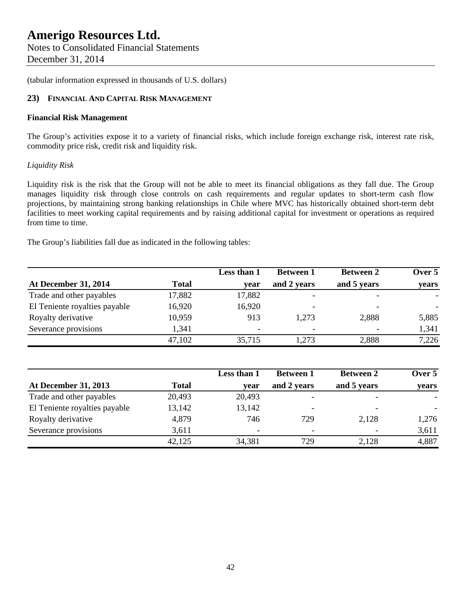Notes to Consolidated Financial Statements December 31, 2014

(tabular information expressed in thousands of U.S. dollars)

#### **23) FINANCIAL AND CAPITAL RISK MANAGEMENT**

#### **Financial Risk Management**

The Group's activities expose it to a variety of financial risks, which include foreign exchange risk, interest rate risk, commodity price risk, credit risk and liquidity risk.

#### *Liquidity Risk*

Liquidity risk is the risk that the Group will not be able to meet its financial obligations as they fall due. The Group manages liquidity risk through close controls on cash requirements and regular updates to short-term cash flow projections, by maintaining strong banking relationships in Chile where MVC has historically obtained short-term debt facilities to meet working capital requirements and by raising additional capital for investment or operations as required from time to time.

The Group's liabilities fall due as indicated in the following tables:

|                               |              | Less than 1 | <b>Between 1</b> | <b>Between 2</b>         | Over 5 |
|-------------------------------|--------------|-------------|------------------|--------------------------|--------|
| <b>At December 31, 2014</b>   | <b>Total</b> | vear        | and 2 years      | and 5 years              | years  |
| Trade and other payables      | 17,882       | 17,882      |                  | $\overline{\phantom{a}}$ |        |
| El Teniente royalties payable | 16,920       | 16,920      |                  | $\overline{\phantom{0}}$ |        |
| Royalty derivative            | 10,959       | 913         | 1,273            | 2,888                    | 5,885  |
| Severance provisions          | 1,341        |             |                  |                          | 1,341  |
|                               | 47,102       | 35,715      | 1,273            | 2,888                    | 7,226  |

|                               |        | Less than 1              | <b>Between 1</b> | <b>Between 2</b>         | Over 5 |
|-------------------------------|--------|--------------------------|------------------|--------------------------|--------|
| <b>At December 31, 2013</b>   | Total  | vear                     | and 2 years      | and 5 years              | years  |
| Trade and other payables      | 20,493 | 20,493                   |                  | $\overline{\phantom{0}}$ |        |
| El Teniente royalties payable | 13,142 | 13,142                   |                  | $\overline{\phantom{0}}$ |        |
| Royalty derivative            | 4,879  | 746                      | 729              | 2,128                    | 1,276  |
| Severance provisions          | 3,611  | $\overline{\phantom{0}}$ |                  | $\overline{\phantom{a}}$ | 3,611  |
|                               | 42,125 | 34,381                   | 729              | 2,128                    | 4,887  |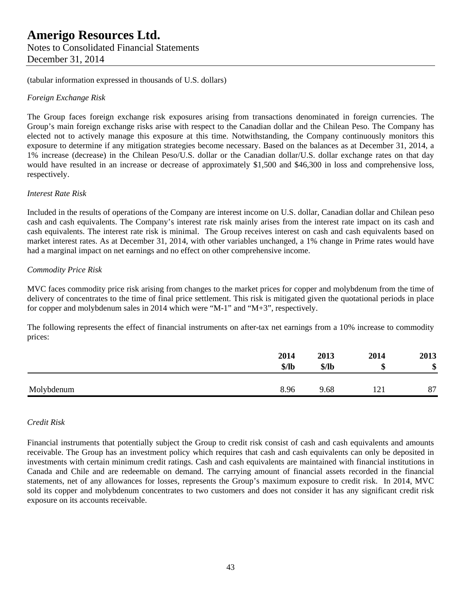Notes to Consolidated Financial Statements December 31, 2014

(tabular information expressed in thousands of U.S. dollars)

#### *Foreign Exchange Risk*

The Group faces foreign exchange risk exposures arising from transactions denominated in foreign currencies. The Group's main foreign exchange risks arise with respect to the Canadian dollar and the Chilean Peso. The Company has elected not to actively manage this exposure at this time. Notwithstanding, the Company continuously monitors this exposure to determine if any mitigation strategies become necessary. Based on the balances as at December 31, 2014, a 1% increase (decrease) in the Chilean Peso/U.S. dollar or the Canadian dollar/U.S. dollar exchange rates on that day would have resulted in an increase or decrease of approximately \$1,500 and \$46,300 in loss and comprehensive loss, respectively.

#### *Interest Rate Risk*

Included in the results of operations of the Company are interest income on U.S. dollar, Canadian dollar and Chilean peso cash and cash equivalents. The Company's interest rate risk mainly arises from the interest rate impact on its cash and cash equivalents. The interest rate risk is minimal. The Group receives interest on cash and cash equivalents based on market interest rates. As at December 31, 2014, with other variables unchanged, a 1% change in Prime rates would have had a marginal impact on net earnings and no effect on other comprehensive income.

#### *Commodity Price Risk*

MVC faces commodity price risk arising from changes to the market prices for copper and molybdenum from the time of delivery of concentrates to the time of final price settlement. This risk is mitigated given the quotational periods in place for copper and molybdenum sales in 2014 which were "M-1" and "M+3", respectively.

The following represents the effect of financial instruments on after-tax net earnings from a 10% increase to commodity prices:

|            | 2014<br>\$/lb | 2013<br>\$/lb | 2014<br>₼<br>٨D                  | 2013<br>\$ |
|------------|---------------|---------------|----------------------------------|------------|
| Molybdenum | 8.96          | 9.68          | $\mathsf{I} \mathsf{D}^*$<br>1/1 | 87         |

#### *Credit Risk*

Financial instruments that potentially subject the Group to credit risk consist of cash and cash equivalents and amounts receivable. The Group has an investment policy which requires that cash and cash equivalents can only be deposited in investments with certain minimum credit ratings. Cash and cash equivalents are maintained with financial institutions in Canada and Chile and are redeemable on demand. The carrying amount of financial assets recorded in the financial statements, net of any allowances for losses, represents the Group's maximum exposure to credit risk. In 2014, MVC sold its copper and molybdenum concentrates to two customers and does not consider it has any significant credit risk exposure on its accounts receivable.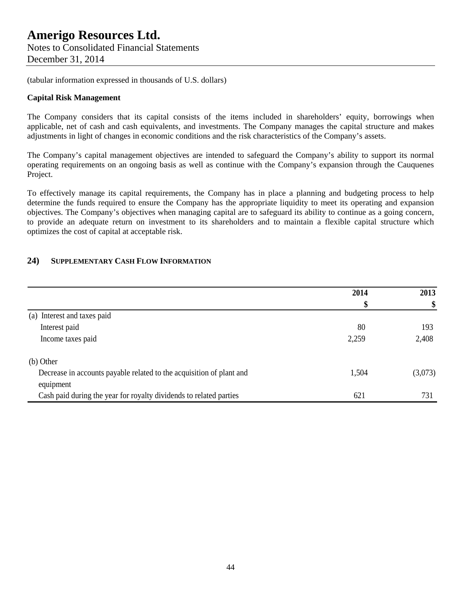Notes to Consolidated Financial Statements December 31, 2014

(tabular information expressed in thousands of U.S. dollars)

#### **Capital Risk Management**

The Company considers that its capital consists of the items included in shareholders' equity, borrowings when applicable, net of cash and cash equivalents, and investments. The Company manages the capital structure and makes adjustments in light of changes in economic conditions and the risk characteristics of the Company's assets.

The Company's capital management objectives are intended to safeguard the Company's ability to support its normal operating requirements on an ongoing basis as well as continue with the Company's expansion through the Cauquenes Project.

To effectively manage its capital requirements, the Company has in place a planning and budgeting process to help determine the funds required to ensure the Company has the appropriate liquidity to meet its operating and expansion objectives. The Company's objectives when managing capital are to safeguard its ability to continue as a going concern, to provide an adequate return on investment to its shareholders and to maintain a flexible capital structure which optimizes the cost of capital at acceptable risk.

#### **24) SUPPLEMENTARY CASH FLOW INFORMATION**

|                                                                      | 2014  | 2013    |
|----------------------------------------------------------------------|-------|---------|
|                                                                      | \$    | \$      |
| (a) Interest and taxes paid                                          |       |         |
| Interest paid                                                        | 80    | 193     |
| Income taxes paid                                                    | 2,259 | 2,408   |
| (b) Other                                                            |       |         |
| Decrease in accounts payable related to the acquisition of plant and | 1,504 | (3,073) |
| equipment                                                            |       |         |
| Cash paid during the year for royalty dividends to related parties   | 621   | 731     |